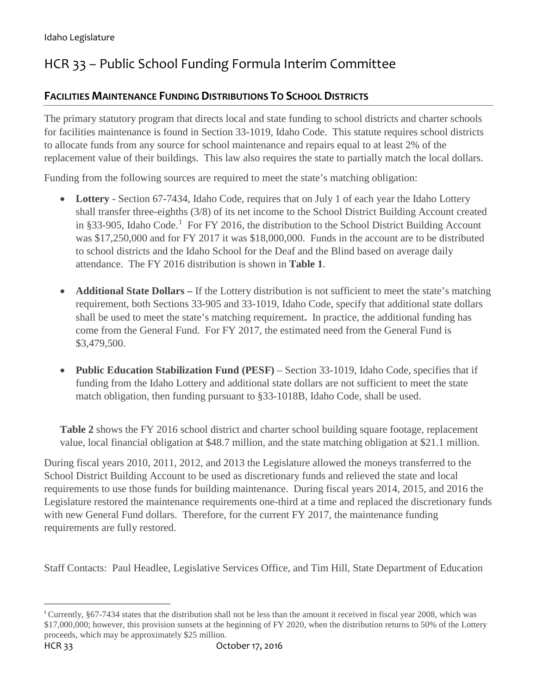# HCR 33 – Public School Funding Formula Interim Committee

### **FACILITIES MAINTENANCE FUNDING DISTRIBUTIONS TO SCHOOL DISTRICTS**

The primary statutory program that directs local and state funding to school districts and charter schools for facilities maintenance is found in Section 33-1019, Idaho Code. This statute requires school districts to allocate funds from any source for school maintenance and repairs equal to at least 2% of the replacement value of their buildings. This law also requires the state to partially match the local dollars.

Funding from the following sources are required to meet the state's matching obligation:

- Lottery Section 67-7434, Idaho Code, requires that on July 1 of each year the Idaho Lottery shall transfer three-eighths (3/8) of its net income to the School District Building Account created in §33-905, Idaho Code. [1](#page-0-0) For FY 2016, the distribution to the School District Building Account was \$17,250,000 and for FY 2017 it was \$18,000,000. Funds in the account are to be distributed to school districts and the Idaho School for the Deaf and the Blind based on average daily attendance. The FY 2016 distribution is shown in **Table 1**.
- **Additional State Dollars** If the Lottery distribution is not sufficient to meet the state's matching requirement, both Sections 33-905 and 33-1019, Idaho Code, specify that additional state dollars shall be used to meet the state's matching requirement**.** In practice, the additional funding has come from the General Fund.For FY 2017, the estimated need from the General Fund is \$3,479,500.
- **Public Education Stabilization Fund (PESF)** Section 33-1019, Idaho Code, specifies that if funding from the Idaho Lottery and additional state dollars are not sufficient to meet the state match obligation, then funding pursuant to §33-1018B, Idaho Code, shall be used.

**Table 2** shows the FY 2016 school district and charter school building square footage, replacement value, local financial obligation at \$48.7 million, and the state matching obligation at \$21.1 million.

During fiscal years 2010, 2011, 2012, and 2013 the Legislature allowed the moneys transferred to the School District Building Account to be used as discretionary funds and relieved the state and local requirements to use those funds for building maintenance. During fiscal years 2014, 2015, and 2016 the Legislature restored the maintenance requirements one-third at a time and replaced the discretionary funds with new General Fund dollars. Therefore, for the current FY 2017, the maintenance funding requirements are fully restored.

Staff Contacts: Paul Headlee, Legislative Services Office, and Tim Hill, State Department of Education

<span id="page-0-0"></span> <sup>1</sup> Currently, §67-7434 states that the distribution shall not be less than the amount it received in fiscal year 2008, which was \$17,000,000; however, this provision sunsets at the beginning of FY 2020, when the distribution returns to 50% of the Lottery proceeds, which may be approximately \$25 million.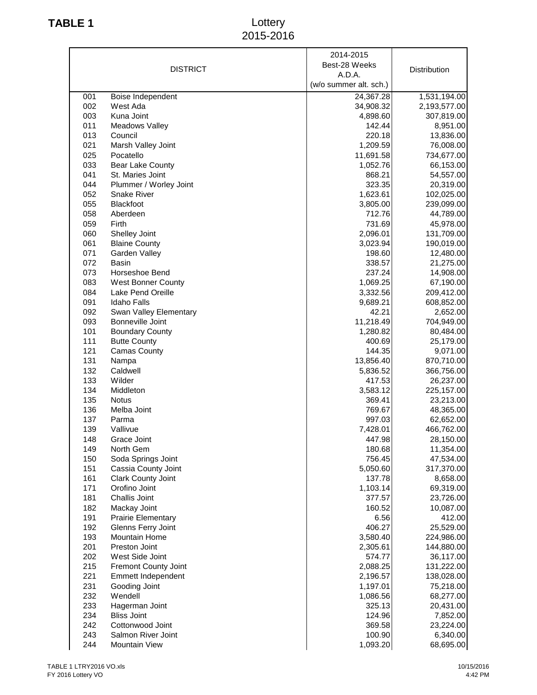## **TABLE 1** Lottery 2015-2016

| (w/o summer alt. sch.)<br>24,367.28<br>1,531,194.00<br>001<br>Boise Independent<br>002<br>West Ada<br>34,908.32<br>2,193,577.00<br>003<br>Kuna Joint<br>4,898.60<br>307,819.00<br>011<br>142.44<br>8,951.00<br><b>Meadows Valley</b><br>Council<br>220.18<br>013<br>13,836.00<br>021<br>Marsh Valley Joint<br>1,209.59<br>76,008.00<br>025<br>Pocatello<br>11,691.58<br>734,677.00<br>033<br><b>Bear Lake County</b><br>1,052.76<br>66,153.00<br>041<br>St. Maries Joint<br>868.21<br>54,557.00<br>044<br>Plummer / Worley Joint<br>323.35<br>20,319.00<br>052<br><b>Snake River</b><br>1,623.61<br>102,025.00<br>055<br>Blackfoot<br>3,805.00<br>239,099.00<br>058<br>Aberdeen<br>712.76<br>44,789.00<br>059<br>Firth<br>731.69<br>45,978.00<br>060<br>Shelley Joint<br>2,096.01<br>131,709.00<br>061<br><b>Blaine County</b><br>3,023.94<br>190,019.00<br>071<br>Garden Valley<br>198.60<br>12,480.00<br>072<br><b>Basin</b><br>338.57<br>21,275.00<br>073<br>Horseshoe Bend<br>237.24<br>14,908.00<br>083<br><b>West Bonner County</b><br>67,190.00<br>1,069.25<br>084<br>Lake Pend Oreille<br>3,332.56<br>209,412.00<br>091<br><b>Idaho Falls</b><br>9,689.21<br>608,852.00<br>092<br>Swan Valley Elementary<br>42.21<br>2,652.00<br>093<br>Bonneville Joint<br>11,218.49<br>704,949.00<br>101<br><b>Boundary County</b><br>1,280.82<br>80,484.00<br>111<br><b>Butte County</b><br>400.69<br>25,179.00<br>121<br><b>Camas County</b><br>144.35<br>9,071.00<br>131<br>Nampa<br>13,856.40<br>870,710.00<br>132<br>Caldwell<br>5,836.52<br>366,756.00<br>133<br>Wilder<br>417.53<br>26,237.00<br>134<br>Middleton<br>3,583.12<br>225,157.00<br>135<br>369.41<br>23,213.00<br><b>Notus</b><br>136<br>Melba Joint<br>769.67<br>48,365.00<br>137<br>997.03<br>Parma<br>62,652.00<br>139<br>Vallivue<br>7,428.01<br>466,762.00<br>148<br>447.98<br>28,150.00<br>Grace Joint<br>149<br>North Gem<br>180.68<br>11,354.00<br>150<br>Soda Springs Joint<br>756.45<br>47,534.00<br>151<br>317,370.00<br>Cassia County Joint<br>5,050.60<br>161<br>137.78<br>Clark County Joint<br>8,658.00<br>171<br>Orofino Joint<br>1,103.14<br>69,319.00<br>181<br>Challis Joint<br>377.57<br>23,726.00<br>182<br>Mackay Joint<br>160.52<br>10,087.00<br>191<br><b>Prairie Elementary</b><br>6.56<br>412.00<br>192<br>Glenns Ferry Joint<br>406.27<br>25,529.00<br>193<br>Mountain Home<br>3,580.40<br>224,986.00<br>201<br>Preston Joint<br>2,305.61<br>144,880.00<br>202<br>West Side Joint<br>574.77<br>36,117.00<br>215<br>Fremont County Joint<br>2,088.25<br>131,222.00<br>221<br>Emmett Independent<br>2,196.57<br>138,028.00<br>231<br>Gooding Joint<br>1,197.01<br>75,218.00<br>232<br>Wendell<br>1,086.56<br>68,277.00<br>233<br>325.13<br>20,431.00<br>Hagerman Joint<br>234<br><b>Bliss Joint</b><br>124.96<br>7,852.00<br>242<br>Cottonwood Joint<br>369.58<br>23,224.00<br>243<br>Salmon River Joint<br>100.90<br>6,340.00<br>244<br>Mountain View<br>1,093.20<br>68,695.00 | <b>DISTRICT</b> | 2014-2015<br>Best-28 Weeks<br>A.D.A. | Distribution |
|----------------------------------------------------------------------------------------------------------------------------------------------------------------------------------------------------------------------------------------------------------------------------------------------------------------------------------------------------------------------------------------------------------------------------------------------------------------------------------------------------------------------------------------------------------------------------------------------------------------------------------------------------------------------------------------------------------------------------------------------------------------------------------------------------------------------------------------------------------------------------------------------------------------------------------------------------------------------------------------------------------------------------------------------------------------------------------------------------------------------------------------------------------------------------------------------------------------------------------------------------------------------------------------------------------------------------------------------------------------------------------------------------------------------------------------------------------------------------------------------------------------------------------------------------------------------------------------------------------------------------------------------------------------------------------------------------------------------------------------------------------------------------------------------------------------------------------------------------------------------------------------------------------------------------------------------------------------------------------------------------------------------------------------------------------------------------------------------------------------------------------------------------------------------------------------------------------------------------------------------------------------------------------------------------------------------------------------------------------------------------------------------------------------------------------------------------------------------------------------------------------------------------------------------------------------------------------------------------------------------------------------------------------------------------------------------------------------------------------------------------------------------------------------------------------------------------------------------------------------------------------------------------------------------------------------------------------------------|-----------------|--------------------------------------|--------------|
|                                                                                                                                                                                                                                                                                                                                                                                                                                                                                                                                                                                                                                                                                                                                                                                                                                                                                                                                                                                                                                                                                                                                                                                                                                                                                                                                                                                                                                                                                                                                                                                                                                                                                                                                                                                                                                                                                                                                                                                                                                                                                                                                                                                                                                                                                                                                                                                                                                                                                                                                                                                                                                                                                                                                                                                                                                                                                                                                                                      |                 |                                      |              |
|                                                                                                                                                                                                                                                                                                                                                                                                                                                                                                                                                                                                                                                                                                                                                                                                                                                                                                                                                                                                                                                                                                                                                                                                                                                                                                                                                                                                                                                                                                                                                                                                                                                                                                                                                                                                                                                                                                                                                                                                                                                                                                                                                                                                                                                                                                                                                                                                                                                                                                                                                                                                                                                                                                                                                                                                                                                                                                                                                                      |                 |                                      |              |
|                                                                                                                                                                                                                                                                                                                                                                                                                                                                                                                                                                                                                                                                                                                                                                                                                                                                                                                                                                                                                                                                                                                                                                                                                                                                                                                                                                                                                                                                                                                                                                                                                                                                                                                                                                                                                                                                                                                                                                                                                                                                                                                                                                                                                                                                                                                                                                                                                                                                                                                                                                                                                                                                                                                                                                                                                                                                                                                                                                      |                 |                                      |              |
|                                                                                                                                                                                                                                                                                                                                                                                                                                                                                                                                                                                                                                                                                                                                                                                                                                                                                                                                                                                                                                                                                                                                                                                                                                                                                                                                                                                                                                                                                                                                                                                                                                                                                                                                                                                                                                                                                                                                                                                                                                                                                                                                                                                                                                                                                                                                                                                                                                                                                                                                                                                                                                                                                                                                                                                                                                                                                                                                                                      |                 |                                      |              |
|                                                                                                                                                                                                                                                                                                                                                                                                                                                                                                                                                                                                                                                                                                                                                                                                                                                                                                                                                                                                                                                                                                                                                                                                                                                                                                                                                                                                                                                                                                                                                                                                                                                                                                                                                                                                                                                                                                                                                                                                                                                                                                                                                                                                                                                                                                                                                                                                                                                                                                                                                                                                                                                                                                                                                                                                                                                                                                                                                                      |                 |                                      |              |
|                                                                                                                                                                                                                                                                                                                                                                                                                                                                                                                                                                                                                                                                                                                                                                                                                                                                                                                                                                                                                                                                                                                                                                                                                                                                                                                                                                                                                                                                                                                                                                                                                                                                                                                                                                                                                                                                                                                                                                                                                                                                                                                                                                                                                                                                                                                                                                                                                                                                                                                                                                                                                                                                                                                                                                                                                                                                                                                                                                      |                 |                                      |              |
|                                                                                                                                                                                                                                                                                                                                                                                                                                                                                                                                                                                                                                                                                                                                                                                                                                                                                                                                                                                                                                                                                                                                                                                                                                                                                                                                                                                                                                                                                                                                                                                                                                                                                                                                                                                                                                                                                                                                                                                                                                                                                                                                                                                                                                                                                                                                                                                                                                                                                                                                                                                                                                                                                                                                                                                                                                                                                                                                                                      |                 |                                      |              |
|                                                                                                                                                                                                                                                                                                                                                                                                                                                                                                                                                                                                                                                                                                                                                                                                                                                                                                                                                                                                                                                                                                                                                                                                                                                                                                                                                                                                                                                                                                                                                                                                                                                                                                                                                                                                                                                                                                                                                                                                                                                                                                                                                                                                                                                                                                                                                                                                                                                                                                                                                                                                                                                                                                                                                                                                                                                                                                                                                                      |                 |                                      |              |
|                                                                                                                                                                                                                                                                                                                                                                                                                                                                                                                                                                                                                                                                                                                                                                                                                                                                                                                                                                                                                                                                                                                                                                                                                                                                                                                                                                                                                                                                                                                                                                                                                                                                                                                                                                                                                                                                                                                                                                                                                                                                                                                                                                                                                                                                                                                                                                                                                                                                                                                                                                                                                                                                                                                                                                                                                                                                                                                                                                      |                 |                                      |              |
|                                                                                                                                                                                                                                                                                                                                                                                                                                                                                                                                                                                                                                                                                                                                                                                                                                                                                                                                                                                                                                                                                                                                                                                                                                                                                                                                                                                                                                                                                                                                                                                                                                                                                                                                                                                                                                                                                                                                                                                                                                                                                                                                                                                                                                                                                                                                                                                                                                                                                                                                                                                                                                                                                                                                                                                                                                                                                                                                                                      |                 |                                      |              |
|                                                                                                                                                                                                                                                                                                                                                                                                                                                                                                                                                                                                                                                                                                                                                                                                                                                                                                                                                                                                                                                                                                                                                                                                                                                                                                                                                                                                                                                                                                                                                                                                                                                                                                                                                                                                                                                                                                                                                                                                                                                                                                                                                                                                                                                                                                                                                                                                                                                                                                                                                                                                                                                                                                                                                                                                                                                                                                                                                                      |                 |                                      |              |
|                                                                                                                                                                                                                                                                                                                                                                                                                                                                                                                                                                                                                                                                                                                                                                                                                                                                                                                                                                                                                                                                                                                                                                                                                                                                                                                                                                                                                                                                                                                                                                                                                                                                                                                                                                                                                                                                                                                                                                                                                                                                                                                                                                                                                                                                                                                                                                                                                                                                                                                                                                                                                                                                                                                                                                                                                                                                                                                                                                      |                 |                                      |              |
|                                                                                                                                                                                                                                                                                                                                                                                                                                                                                                                                                                                                                                                                                                                                                                                                                                                                                                                                                                                                                                                                                                                                                                                                                                                                                                                                                                                                                                                                                                                                                                                                                                                                                                                                                                                                                                                                                                                                                                                                                                                                                                                                                                                                                                                                                                                                                                                                                                                                                                                                                                                                                                                                                                                                                                                                                                                                                                                                                                      |                 |                                      |              |
|                                                                                                                                                                                                                                                                                                                                                                                                                                                                                                                                                                                                                                                                                                                                                                                                                                                                                                                                                                                                                                                                                                                                                                                                                                                                                                                                                                                                                                                                                                                                                                                                                                                                                                                                                                                                                                                                                                                                                                                                                                                                                                                                                                                                                                                                                                                                                                                                                                                                                                                                                                                                                                                                                                                                                                                                                                                                                                                                                                      |                 |                                      |              |
|                                                                                                                                                                                                                                                                                                                                                                                                                                                                                                                                                                                                                                                                                                                                                                                                                                                                                                                                                                                                                                                                                                                                                                                                                                                                                                                                                                                                                                                                                                                                                                                                                                                                                                                                                                                                                                                                                                                                                                                                                                                                                                                                                                                                                                                                                                                                                                                                                                                                                                                                                                                                                                                                                                                                                                                                                                                                                                                                                                      |                 |                                      |              |
|                                                                                                                                                                                                                                                                                                                                                                                                                                                                                                                                                                                                                                                                                                                                                                                                                                                                                                                                                                                                                                                                                                                                                                                                                                                                                                                                                                                                                                                                                                                                                                                                                                                                                                                                                                                                                                                                                                                                                                                                                                                                                                                                                                                                                                                                                                                                                                                                                                                                                                                                                                                                                                                                                                                                                                                                                                                                                                                                                                      |                 |                                      |              |
|                                                                                                                                                                                                                                                                                                                                                                                                                                                                                                                                                                                                                                                                                                                                                                                                                                                                                                                                                                                                                                                                                                                                                                                                                                                                                                                                                                                                                                                                                                                                                                                                                                                                                                                                                                                                                                                                                                                                                                                                                                                                                                                                                                                                                                                                                                                                                                                                                                                                                                                                                                                                                                                                                                                                                                                                                                                                                                                                                                      |                 |                                      |              |
|                                                                                                                                                                                                                                                                                                                                                                                                                                                                                                                                                                                                                                                                                                                                                                                                                                                                                                                                                                                                                                                                                                                                                                                                                                                                                                                                                                                                                                                                                                                                                                                                                                                                                                                                                                                                                                                                                                                                                                                                                                                                                                                                                                                                                                                                                                                                                                                                                                                                                                                                                                                                                                                                                                                                                                                                                                                                                                                                                                      |                 |                                      |              |
|                                                                                                                                                                                                                                                                                                                                                                                                                                                                                                                                                                                                                                                                                                                                                                                                                                                                                                                                                                                                                                                                                                                                                                                                                                                                                                                                                                                                                                                                                                                                                                                                                                                                                                                                                                                                                                                                                                                                                                                                                                                                                                                                                                                                                                                                                                                                                                                                                                                                                                                                                                                                                                                                                                                                                                                                                                                                                                                                                                      |                 |                                      |              |
|                                                                                                                                                                                                                                                                                                                                                                                                                                                                                                                                                                                                                                                                                                                                                                                                                                                                                                                                                                                                                                                                                                                                                                                                                                                                                                                                                                                                                                                                                                                                                                                                                                                                                                                                                                                                                                                                                                                                                                                                                                                                                                                                                                                                                                                                                                                                                                                                                                                                                                                                                                                                                                                                                                                                                                                                                                                                                                                                                                      |                 |                                      |              |
|                                                                                                                                                                                                                                                                                                                                                                                                                                                                                                                                                                                                                                                                                                                                                                                                                                                                                                                                                                                                                                                                                                                                                                                                                                                                                                                                                                                                                                                                                                                                                                                                                                                                                                                                                                                                                                                                                                                                                                                                                                                                                                                                                                                                                                                                                                                                                                                                                                                                                                                                                                                                                                                                                                                                                                                                                                                                                                                                                                      |                 |                                      |              |
|                                                                                                                                                                                                                                                                                                                                                                                                                                                                                                                                                                                                                                                                                                                                                                                                                                                                                                                                                                                                                                                                                                                                                                                                                                                                                                                                                                                                                                                                                                                                                                                                                                                                                                                                                                                                                                                                                                                                                                                                                                                                                                                                                                                                                                                                                                                                                                                                                                                                                                                                                                                                                                                                                                                                                                                                                                                                                                                                                                      |                 |                                      |              |
|                                                                                                                                                                                                                                                                                                                                                                                                                                                                                                                                                                                                                                                                                                                                                                                                                                                                                                                                                                                                                                                                                                                                                                                                                                                                                                                                                                                                                                                                                                                                                                                                                                                                                                                                                                                                                                                                                                                                                                                                                                                                                                                                                                                                                                                                                                                                                                                                                                                                                                                                                                                                                                                                                                                                                                                                                                                                                                                                                                      |                 |                                      |              |
|                                                                                                                                                                                                                                                                                                                                                                                                                                                                                                                                                                                                                                                                                                                                                                                                                                                                                                                                                                                                                                                                                                                                                                                                                                                                                                                                                                                                                                                                                                                                                                                                                                                                                                                                                                                                                                                                                                                                                                                                                                                                                                                                                                                                                                                                                                                                                                                                                                                                                                                                                                                                                                                                                                                                                                                                                                                                                                                                                                      |                 |                                      |              |
|                                                                                                                                                                                                                                                                                                                                                                                                                                                                                                                                                                                                                                                                                                                                                                                                                                                                                                                                                                                                                                                                                                                                                                                                                                                                                                                                                                                                                                                                                                                                                                                                                                                                                                                                                                                                                                                                                                                                                                                                                                                                                                                                                                                                                                                                                                                                                                                                                                                                                                                                                                                                                                                                                                                                                                                                                                                                                                                                                                      |                 |                                      |              |
|                                                                                                                                                                                                                                                                                                                                                                                                                                                                                                                                                                                                                                                                                                                                                                                                                                                                                                                                                                                                                                                                                                                                                                                                                                                                                                                                                                                                                                                                                                                                                                                                                                                                                                                                                                                                                                                                                                                                                                                                                                                                                                                                                                                                                                                                                                                                                                                                                                                                                                                                                                                                                                                                                                                                                                                                                                                                                                                                                                      |                 |                                      |              |
|                                                                                                                                                                                                                                                                                                                                                                                                                                                                                                                                                                                                                                                                                                                                                                                                                                                                                                                                                                                                                                                                                                                                                                                                                                                                                                                                                                                                                                                                                                                                                                                                                                                                                                                                                                                                                                                                                                                                                                                                                                                                                                                                                                                                                                                                                                                                                                                                                                                                                                                                                                                                                                                                                                                                                                                                                                                                                                                                                                      |                 |                                      |              |
|                                                                                                                                                                                                                                                                                                                                                                                                                                                                                                                                                                                                                                                                                                                                                                                                                                                                                                                                                                                                                                                                                                                                                                                                                                                                                                                                                                                                                                                                                                                                                                                                                                                                                                                                                                                                                                                                                                                                                                                                                                                                                                                                                                                                                                                                                                                                                                                                                                                                                                                                                                                                                                                                                                                                                                                                                                                                                                                                                                      |                 |                                      |              |
|                                                                                                                                                                                                                                                                                                                                                                                                                                                                                                                                                                                                                                                                                                                                                                                                                                                                                                                                                                                                                                                                                                                                                                                                                                                                                                                                                                                                                                                                                                                                                                                                                                                                                                                                                                                                                                                                                                                                                                                                                                                                                                                                                                                                                                                                                                                                                                                                                                                                                                                                                                                                                                                                                                                                                                                                                                                                                                                                                                      |                 |                                      |              |
|                                                                                                                                                                                                                                                                                                                                                                                                                                                                                                                                                                                                                                                                                                                                                                                                                                                                                                                                                                                                                                                                                                                                                                                                                                                                                                                                                                                                                                                                                                                                                                                                                                                                                                                                                                                                                                                                                                                                                                                                                                                                                                                                                                                                                                                                                                                                                                                                                                                                                                                                                                                                                                                                                                                                                                                                                                                                                                                                                                      |                 |                                      |              |
|                                                                                                                                                                                                                                                                                                                                                                                                                                                                                                                                                                                                                                                                                                                                                                                                                                                                                                                                                                                                                                                                                                                                                                                                                                                                                                                                                                                                                                                                                                                                                                                                                                                                                                                                                                                                                                                                                                                                                                                                                                                                                                                                                                                                                                                                                                                                                                                                                                                                                                                                                                                                                                                                                                                                                                                                                                                                                                                                                                      |                 |                                      |              |
|                                                                                                                                                                                                                                                                                                                                                                                                                                                                                                                                                                                                                                                                                                                                                                                                                                                                                                                                                                                                                                                                                                                                                                                                                                                                                                                                                                                                                                                                                                                                                                                                                                                                                                                                                                                                                                                                                                                                                                                                                                                                                                                                                                                                                                                                                                                                                                                                                                                                                                                                                                                                                                                                                                                                                                                                                                                                                                                                                                      |                 |                                      |              |
|                                                                                                                                                                                                                                                                                                                                                                                                                                                                                                                                                                                                                                                                                                                                                                                                                                                                                                                                                                                                                                                                                                                                                                                                                                                                                                                                                                                                                                                                                                                                                                                                                                                                                                                                                                                                                                                                                                                                                                                                                                                                                                                                                                                                                                                                                                                                                                                                                                                                                                                                                                                                                                                                                                                                                                                                                                                                                                                                                                      |                 |                                      |              |
|                                                                                                                                                                                                                                                                                                                                                                                                                                                                                                                                                                                                                                                                                                                                                                                                                                                                                                                                                                                                                                                                                                                                                                                                                                                                                                                                                                                                                                                                                                                                                                                                                                                                                                                                                                                                                                                                                                                                                                                                                                                                                                                                                                                                                                                                                                                                                                                                                                                                                                                                                                                                                                                                                                                                                                                                                                                                                                                                                                      |                 |                                      |              |
|                                                                                                                                                                                                                                                                                                                                                                                                                                                                                                                                                                                                                                                                                                                                                                                                                                                                                                                                                                                                                                                                                                                                                                                                                                                                                                                                                                                                                                                                                                                                                                                                                                                                                                                                                                                                                                                                                                                                                                                                                                                                                                                                                                                                                                                                                                                                                                                                                                                                                                                                                                                                                                                                                                                                                                                                                                                                                                                                                                      |                 |                                      |              |
|                                                                                                                                                                                                                                                                                                                                                                                                                                                                                                                                                                                                                                                                                                                                                                                                                                                                                                                                                                                                                                                                                                                                                                                                                                                                                                                                                                                                                                                                                                                                                                                                                                                                                                                                                                                                                                                                                                                                                                                                                                                                                                                                                                                                                                                                                                                                                                                                                                                                                                                                                                                                                                                                                                                                                                                                                                                                                                                                                                      |                 |                                      |              |
|                                                                                                                                                                                                                                                                                                                                                                                                                                                                                                                                                                                                                                                                                                                                                                                                                                                                                                                                                                                                                                                                                                                                                                                                                                                                                                                                                                                                                                                                                                                                                                                                                                                                                                                                                                                                                                                                                                                                                                                                                                                                                                                                                                                                                                                                                                                                                                                                                                                                                                                                                                                                                                                                                                                                                                                                                                                                                                                                                                      |                 |                                      |              |
|                                                                                                                                                                                                                                                                                                                                                                                                                                                                                                                                                                                                                                                                                                                                                                                                                                                                                                                                                                                                                                                                                                                                                                                                                                                                                                                                                                                                                                                                                                                                                                                                                                                                                                                                                                                                                                                                                                                                                                                                                                                                                                                                                                                                                                                                                                                                                                                                                                                                                                                                                                                                                                                                                                                                                                                                                                                                                                                                                                      |                 |                                      |              |
|                                                                                                                                                                                                                                                                                                                                                                                                                                                                                                                                                                                                                                                                                                                                                                                                                                                                                                                                                                                                                                                                                                                                                                                                                                                                                                                                                                                                                                                                                                                                                                                                                                                                                                                                                                                                                                                                                                                                                                                                                                                                                                                                                                                                                                                                                                                                                                                                                                                                                                                                                                                                                                                                                                                                                                                                                                                                                                                                                                      |                 |                                      |              |
|                                                                                                                                                                                                                                                                                                                                                                                                                                                                                                                                                                                                                                                                                                                                                                                                                                                                                                                                                                                                                                                                                                                                                                                                                                                                                                                                                                                                                                                                                                                                                                                                                                                                                                                                                                                                                                                                                                                                                                                                                                                                                                                                                                                                                                                                                                                                                                                                                                                                                                                                                                                                                                                                                                                                                                                                                                                                                                                                                                      |                 |                                      |              |
|                                                                                                                                                                                                                                                                                                                                                                                                                                                                                                                                                                                                                                                                                                                                                                                                                                                                                                                                                                                                                                                                                                                                                                                                                                                                                                                                                                                                                                                                                                                                                                                                                                                                                                                                                                                                                                                                                                                                                                                                                                                                                                                                                                                                                                                                                                                                                                                                                                                                                                                                                                                                                                                                                                                                                                                                                                                                                                                                                                      |                 |                                      |              |
|                                                                                                                                                                                                                                                                                                                                                                                                                                                                                                                                                                                                                                                                                                                                                                                                                                                                                                                                                                                                                                                                                                                                                                                                                                                                                                                                                                                                                                                                                                                                                                                                                                                                                                                                                                                                                                                                                                                                                                                                                                                                                                                                                                                                                                                                                                                                                                                                                                                                                                                                                                                                                                                                                                                                                                                                                                                                                                                                                                      |                 |                                      |              |
|                                                                                                                                                                                                                                                                                                                                                                                                                                                                                                                                                                                                                                                                                                                                                                                                                                                                                                                                                                                                                                                                                                                                                                                                                                                                                                                                                                                                                                                                                                                                                                                                                                                                                                                                                                                                                                                                                                                                                                                                                                                                                                                                                                                                                                                                                                                                                                                                                                                                                                                                                                                                                                                                                                                                                                                                                                                                                                                                                                      |                 |                                      |              |
|                                                                                                                                                                                                                                                                                                                                                                                                                                                                                                                                                                                                                                                                                                                                                                                                                                                                                                                                                                                                                                                                                                                                                                                                                                                                                                                                                                                                                                                                                                                                                                                                                                                                                                                                                                                                                                                                                                                                                                                                                                                                                                                                                                                                                                                                                                                                                                                                                                                                                                                                                                                                                                                                                                                                                                                                                                                                                                                                                                      |                 |                                      |              |
|                                                                                                                                                                                                                                                                                                                                                                                                                                                                                                                                                                                                                                                                                                                                                                                                                                                                                                                                                                                                                                                                                                                                                                                                                                                                                                                                                                                                                                                                                                                                                                                                                                                                                                                                                                                                                                                                                                                                                                                                                                                                                                                                                                                                                                                                                                                                                                                                                                                                                                                                                                                                                                                                                                                                                                                                                                                                                                                                                                      |                 |                                      |              |
|                                                                                                                                                                                                                                                                                                                                                                                                                                                                                                                                                                                                                                                                                                                                                                                                                                                                                                                                                                                                                                                                                                                                                                                                                                                                                                                                                                                                                                                                                                                                                                                                                                                                                                                                                                                                                                                                                                                                                                                                                                                                                                                                                                                                                                                                                                                                                                                                                                                                                                                                                                                                                                                                                                                                                                                                                                                                                                                                                                      |                 |                                      |              |
|                                                                                                                                                                                                                                                                                                                                                                                                                                                                                                                                                                                                                                                                                                                                                                                                                                                                                                                                                                                                                                                                                                                                                                                                                                                                                                                                                                                                                                                                                                                                                                                                                                                                                                                                                                                                                                                                                                                                                                                                                                                                                                                                                                                                                                                                                                                                                                                                                                                                                                                                                                                                                                                                                                                                                                                                                                                                                                                                                                      |                 |                                      |              |
|                                                                                                                                                                                                                                                                                                                                                                                                                                                                                                                                                                                                                                                                                                                                                                                                                                                                                                                                                                                                                                                                                                                                                                                                                                                                                                                                                                                                                                                                                                                                                                                                                                                                                                                                                                                                                                                                                                                                                                                                                                                                                                                                                                                                                                                                                                                                                                                                                                                                                                                                                                                                                                                                                                                                                                                                                                                                                                                                                                      |                 |                                      |              |
|                                                                                                                                                                                                                                                                                                                                                                                                                                                                                                                                                                                                                                                                                                                                                                                                                                                                                                                                                                                                                                                                                                                                                                                                                                                                                                                                                                                                                                                                                                                                                                                                                                                                                                                                                                                                                                                                                                                                                                                                                                                                                                                                                                                                                                                                                                                                                                                                                                                                                                                                                                                                                                                                                                                                                                                                                                                                                                                                                                      |                 |                                      |              |
|                                                                                                                                                                                                                                                                                                                                                                                                                                                                                                                                                                                                                                                                                                                                                                                                                                                                                                                                                                                                                                                                                                                                                                                                                                                                                                                                                                                                                                                                                                                                                                                                                                                                                                                                                                                                                                                                                                                                                                                                                                                                                                                                                                                                                                                                                                                                                                                                                                                                                                                                                                                                                                                                                                                                                                                                                                                                                                                                                                      |                 |                                      |              |
|                                                                                                                                                                                                                                                                                                                                                                                                                                                                                                                                                                                                                                                                                                                                                                                                                                                                                                                                                                                                                                                                                                                                                                                                                                                                                                                                                                                                                                                                                                                                                                                                                                                                                                                                                                                                                                                                                                                                                                                                                                                                                                                                                                                                                                                                                                                                                                                                                                                                                                                                                                                                                                                                                                                                                                                                                                                                                                                                                                      |                 |                                      |              |
|                                                                                                                                                                                                                                                                                                                                                                                                                                                                                                                                                                                                                                                                                                                                                                                                                                                                                                                                                                                                                                                                                                                                                                                                                                                                                                                                                                                                                                                                                                                                                                                                                                                                                                                                                                                                                                                                                                                                                                                                                                                                                                                                                                                                                                                                                                                                                                                                                                                                                                                                                                                                                                                                                                                                                                                                                                                                                                                                                                      |                 |                                      |              |
|                                                                                                                                                                                                                                                                                                                                                                                                                                                                                                                                                                                                                                                                                                                                                                                                                                                                                                                                                                                                                                                                                                                                                                                                                                                                                                                                                                                                                                                                                                                                                                                                                                                                                                                                                                                                                                                                                                                                                                                                                                                                                                                                                                                                                                                                                                                                                                                                                                                                                                                                                                                                                                                                                                                                                                                                                                                                                                                                                                      |                 |                                      |              |
|                                                                                                                                                                                                                                                                                                                                                                                                                                                                                                                                                                                                                                                                                                                                                                                                                                                                                                                                                                                                                                                                                                                                                                                                                                                                                                                                                                                                                                                                                                                                                                                                                                                                                                                                                                                                                                                                                                                                                                                                                                                                                                                                                                                                                                                                                                                                                                                                                                                                                                                                                                                                                                                                                                                                                                                                                                                                                                                                                                      |                 |                                      |              |
|                                                                                                                                                                                                                                                                                                                                                                                                                                                                                                                                                                                                                                                                                                                                                                                                                                                                                                                                                                                                                                                                                                                                                                                                                                                                                                                                                                                                                                                                                                                                                                                                                                                                                                                                                                                                                                                                                                                                                                                                                                                                                                                                                                                                                                                                                                                                                                                                                                                                                                                                                                                                                                                                                                                                                                                                                                                                                                                                                                      |                 |                                      |              |
|                                                                                                                                                                                                                                                                                                                                                                                                                                                                                                                                                                                                                                                                                                                                                                                                                                                                                                                                                                                                                                                                                                                                                                                                                                                                                                                                                                                                                                                                                                                                                                                                                                                                                                                                                                                                                                                                                                                                                                                                                                                                                                                                                                                                                                                                                                                                                                                                                                                                                                                                                                                                                                                                                                                                                                                                                                                                                                                                                                      |                 |                                      |              |
|                                                                                                                                                                                                                                                                                                                                                                                                                                                                                                                                                                                                                                                                                                                                                                                                                                                                                                                                                                                                                                                                                                                                                                                                                                                                                                                                                                                                                                                                                                                                                                                                                                                                                                                                                                                                                                                                                                                                                                                                                                                                                                                                                                                                                                                                                                                                                                                                                                                                                                                                                                                                                                                                                                                                                                                                                                                                                                                                                                      |                 |                                      |              |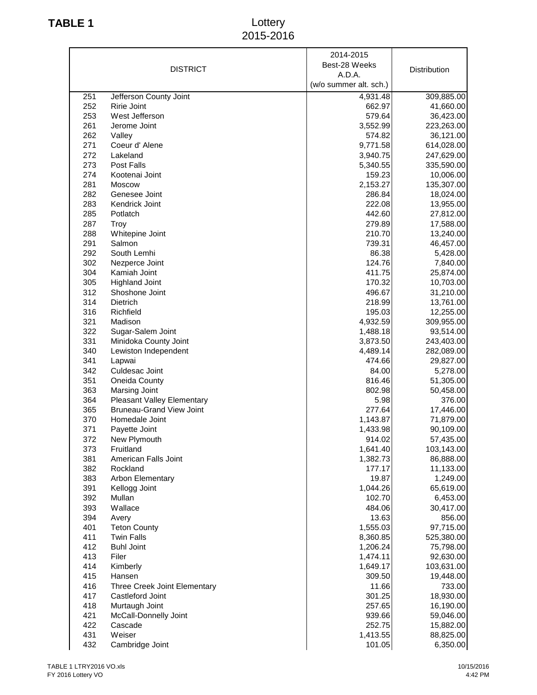## **TABLE 1** Lottery 2015-2016

|     |                                   | 2014-2015              |              |
|-----|-----------------------------------|------------------------|--------------|
|     | <b>DISTRICT</b>                   | Best-28 Weeks          | Distribution |
|     |                                   | A.D.A.                 |              |
|     |                                   | (w/o summer alt. sch.) |              |
| 251 | Jefferson County Joint            | 4,931.48               | 309,885.00   |
| 252 | Ririe Joint                       | 662.97                 | 41,660.00    |
| 253 | West Jefferson                    | 579.64                 | 36,423.00    |
| 261 | Jerome Joint                      | 3,552.99               | 223,263.00   |
| 262 | Valley                            | 574.82                 | 36,121.00    |
| 271 | Coeur d' Alene                    | 9,771.58               | 614,028.00   |
| 272 | Lakeland                          | 3,940.75               | 247,629.00   |
| 273 | Post Falls                        | 5,340.55               | 335,590.00   |
| 274 | Kootenai Joint                    | 159.23                 | 10,006.00    |
| 281 | Moscow                            | 2,153.27               | 135,307.00   |
| 282 | Genesee Joint                     | 286.84                 | 18,024.00    |
| 283 | Kendrick Joint                    | 222.08                 | 13,955.00    |
| 285 | Potlatch                          | 442.60                 | 27,812.00    |
| 287 | Troy                              | 279.89                 | 17,588.00    |
| 288 | Whitepine Joint                   | 210.70                 | 13,240.00    |
| 291 | Salmon                            | 739.31                 | 46,457.00    |
| 292 | South Lemhi                       | 86.38                  | 5,428.00     |
| 302 | Nezperce Joint                    | 124.76                 | 7,840.00     |
| 304 | Kamiah Joint                      | 411.75                 | 25,874.00    |
| 305 | <b>Highland Joint</b>             | 170.32                 | 10,703.00    |
| 312 | Shoshone Joint                    | 496.67                 | 31,210.00    |
| 314 | Dietrich                          | 218.99                 | 13,761.00    |
| 316 | Richfield                         | 195.03                 | 12,255.00    |
| 321 | Madison                           | 4,932.59               | 309,955.00   |
| 322 | Sugar-Salem Joint                 | 1,488.18               | 93,514.00    |
| 331 | Minidoka County Joint             | 3,873.50               | 243,403.00   |
| 340 | Lewiston Independent              | 4,489.14               | 282,089.00   |
| 341 | Lapwai                            | 474.66                 | 29,827.00    |
| 342 | Culdesac Joint                    | 84.00                  | 5,278.00     |
| 351 | Oneida County                     | 816.46                 | 51,305.00    |
| 363 | Marsing Joint                     | 802.98                 | 50,458.00    |
| 364 | <b>Pleasant Valley Elementary</b> | 5.98                   | 376.00       |
| 365 | <b>Bruneau-Grand View Joint</b>   | 277.64                 | 17,446.00    |
| 370 | Homedale Joint                    | 1,143.87               | 71,879.00    |
| 371 | Payette Joint                     | 1,433.98               | 90,109.00    |
| 372 | New Plymouth                      | 914.02                 | 57,435.00    |
| 373 | Fruitland                         | 1,641.40               | 103,143.00   |
| 381 | American Falls Joint              | 1,382.73               | 86,888.00    |
| 382 | Rockland                          | 177.17                 | 11,133.00    |
| 383 | Arbon Elementary                  | 19.87                  | 1,249.00     |
| 391 | Kellogg Joint                     | 1,044.26               | 65,619.00    |
| 392 | Mullan                            | 102.70                 | 6,453.00     |
| 393 | Wallace                           | 484.06                 | 30,417.00    |
| 394 | Avery                             | 13.63                  | 856.00       |
| 401 | <b>Teton County</b>               | 1,555.03               | 97,715.00    |
| 411 | <b>Twin Falls</b>                 | 8,360.85               | 525,380.00   |
| 412 | <b>Buhl Joint</b>                 | 1,206.24               | 75,798.00    |
| 413 | Filer                             | 1,474.11               | 92,630.00    |
| 414 | Kimberly                          | 1,649.17               | 103,631.00   |
| 415 | Hansen                            | 309.50                 | 19,448.00    |
| 416 | Three Creek Joint Elementary      | 11.66                  | 733.00       |
| 417 | Castleford Joint                  | 301.25                 | 18,930.00    |
| 418 | Murtaugh Joint                    | 257.65                 | 16,190.00    |
| 421 | McCall-Donnelly Joint             | 939.66                 | 59,046.00    |
| 422 | Cascade                           | 252.75                 | 15,882.00    |
| 431 | Weiser                            | 1,413.55               | 88,825.00    |
| 432 | Cambridge Joint                   | 101.05                 | 6,350.00     |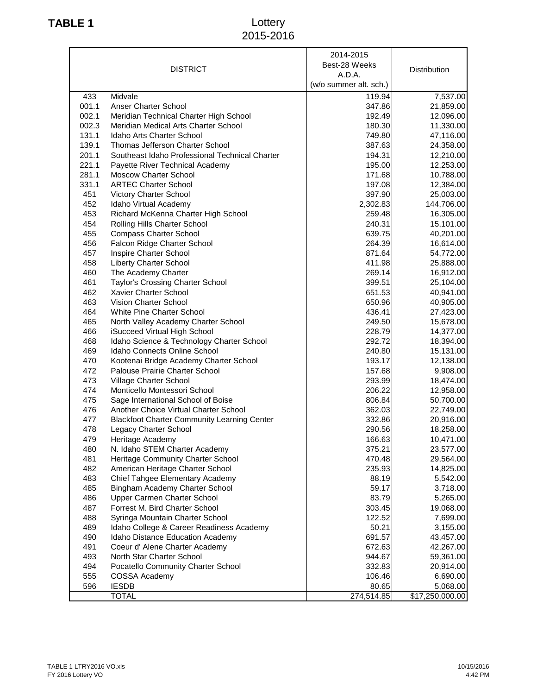## **TABLE 1** Lottery 2015-2016

|       | <b>DISTRICT</b>                                    | 2014-2015<br>Best-28 Weeks<br>A.D.A.<br>(w/o summer alt. sch.) | Distribution    |
|-------|----------------------------------------------------|----------------------------------------------------------------|-----------------|
| 433   | Midvale                                            | 119.94                                                         | 7,537.00        |
| 001.1 | Anser Charter School                               | 347.86                                                         | 21,859.00       |
| 002.1 | Meridian Technical Charter High School             | 192.49                                                         | 12,096.00       |
| 002.3 | Meridian Medical Arts Charter School               | 180.30                                                         | 11,330.00       |
| 131.1 | Idaho Arts Charter School                          | 749.80                                                         | 47,116.00       |
| 139.1 | Thomas Jefferson Charter School                    | 387.63                                                         | 24,358.00       |
| 201.1 | Southeast Idaho Professional Technical Charter     | 194.31                                                         | 12,210.00       |
| 221.1 | Payette River Technical Academy                    | 195.00                                                         | 12,253.00       |
| 281.1 | <b>Moscow Charter School</b>                       | 171.68                                                         | 10,788.00       |
| 331.1 | <b>ARTEC Charter School</b>                        | 197.08                                                         | 12,384.00       |
| 451   | Victory Charter School                             | 397.90                                                         | 25,003.00       |
| 452   | Idaho Virtual Academy                              | 2,302.83                                                       | 144,706.00      |
| 453   | Richard McKenna Charter High School                | 259.48                                                         | 16,305.00       |
| 454   | Rolling Hills Charter School                       | 240.31                                                         | 15,101.00       |
| 455   | <b>Compass Charter School</b>                      | 639.75                                                         | 40,201.00       |
| 456   | Falcon Ridge Charter School                        | 264.39                                                         | 16,614.00       |
| 457   | Inspire Charter School                             | 871.64                                                         | 54,772.00       |
| 458   | <b>Liberty Charter School</b>                      | 411.98                                                         | 25,888.00       |
| 460   | The Academy Charter                                | 269.14                                                         | 16,912.00       |
| 461   | Taylor's Crossing Charter School                   | 399.51                                                         | 25,104.00       |
| 462   | Xavier Charter School                              | 651.53                                                         |                 |
|       | <b>Vision Charter School</b>                       |                                                                | 40,941.00       |
| 463   |                                                    | 650.96                                                         | 40,905.00       |
| 464   | White Pine Charter School                          | 436.41                                                         | 27,423.00       |
| 465   | North Valley Academy Charter School                | 249.50                                                         | 15,678.00       |
| 466   | iSucceed Virtual High School                       | 228.79                                                         | 14,377.00       |
| 468   | Idaho Science & Technology Charter School          | 292.72                                                         | 18,394.00       |
| 469   | Idaho Connects Online School                       | 240.80                                                         | 15,131.00       |
| 470   | Kootenai Bridge Academy Charter School             | 193.17                                                         | 12,138.00       |
| 472   | Palouse Prairie Charter School                     | 157.68                                                         | 9,908.00        |
| 473   | Village Charter School                             | 293.99                                                         | 18,474.00       |
| 474   | Monticello Montessori School                       | 206.22                                                         | 12,958.00       |
| 475   | Sage International School of Boise                 | 806.84                                                         | 50,700.00       |
| 476   | Another Choice Virtual Charter School              | 362.03                                                         | 22,749.00       |
| 477   | <b>Blackfoot Charter Community Learning Center</b> | 332.86                                                         | 20,916.00       |
| 478   | Legacy Charter School                              | 290.56                                                         | 18,258.00       |
| 479   | Heritage Academy                                   | 166.63                                                         | 10,471.00       |
| 480   | N. Idaho STEM Charter Academy                      | 375.21                                                         | 23,577.00       |
| 481   | Heritage Community Charter School                  | 470.48                                                         | 29,564.00       |
| 482   | American Heritage Charter School                   | 235.93                                                         | 14,825.00       |
| 483   | Chief Tahgee Elementary Academy                    | 88.19                                                          | 5,542.00        |
| 485   | Bingham Academy Charter School                     | 59.17                                                          | 3,718.00        |
| 486   | Upper Carmen Charter School                        | 83.79                                                          | 5,265.00        |
| 487   | Forrest M. Bird Charter School                     | 303.45                                                         | 19,068.00       |
| 488   | Syringa Mountain Charter School                    | 122.52                                                         | 7,699.00        |
| 489   | Idaho College & Career Readiness Academy           | 50.21                                                          | 3,155.00        |
| 490   | Idaho Distance Education Academy                   | 691.57                                                         | 43,457.00       |
| 491   | Coeur d' Alene Charter Academy                     | 672.63                                                         | 42,267.00       |
| 493   | North Star Charter School                          | 944.67                                                         | 59,361.00       |
| 494   | Pocatello Community Charter School                 | 332.83                                                         | 20,914.00       |
| 555   | COSSA Academy                                      | 106.46                                                         | 6,690.00        |
| 596   | <b>IESDB</b>                                       | 80.65                                                          | 5,068.00        |
|       | <b>TOTAL</b>                                       | 274,514.85                                                     | \$17,250,000.00 |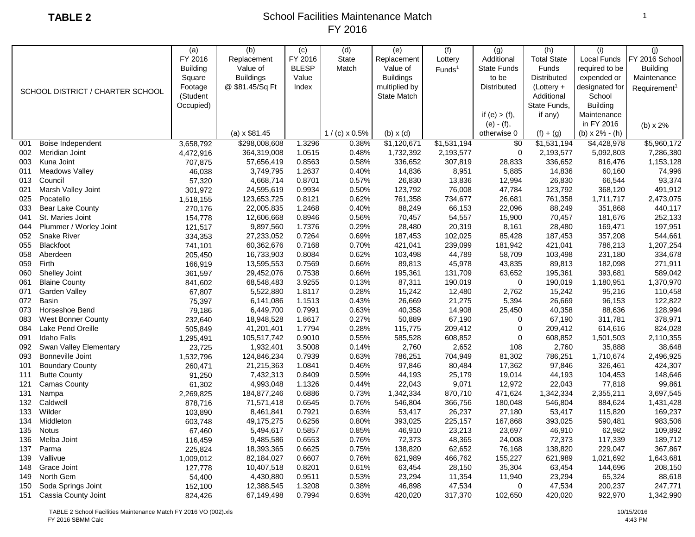|     |                                  | (a)             | (b)                 | (c)          | (d)                  | (e)                | (f)                | (g)                | (h)                | (i)              | (i)                      |
|-----|----------------------------------|-----------------|---------------------|--------------|----------------------|--------------------|--------------------|--------------------|--------------------|------------------|--------------------------|
|     |                                  | FY 2016         | Replacement         | FY 2016      | <b>State</b>         | Replacement        | Lottery            | Additional         | <b>Total State</b> | Local Funds      | FY 2016 School           |
|     |                                  | <b>Building</b> | Value of            | <b>BLESP</b> | Match                | Value of           | Funds <sup>1</sup> | <b>State Funds</b> | <b>Funds</b>       | required to be   | <b>Building</b>          |
|     |                                  | Square          | <b>Buildings</b>    | Value        |                      | <b>Buildings</b>   |                    | to be              | Distributed        | expended or      | Maintenance              |
|     |                                  | Footage         | @ \$81.45/Sq Ft     | Index        |                      | multiplied by      |                    | <b>Distributed</b> | $(Lottery +$       | designated for   | Requirement <sup>1</sup> |
|     | SCHOOL DISTRICT / CHARTER SCHOOL | (Student        |                     |              |                      | <b>State Match</b> |                    |                    | Additional         | School           |                          |
|     |                                  | Occupied)       |                     |              |                      |                    |                    |                    | State Funds.       | <b>Building</b>  |                          |
|     |                                  |                 |                     |              |                      |                    |                    | if (e) $>$ (f),    | if any)            | Maintenance      |                          |
|     |                                  |                 |                     |              |                      |                    |                    | $(e) - (f),$       |                    | in FY 2016       | (b) $x 2%$               |
|     |                                  |                 | $(a) \times $81.45$ |              | $1/(c) \times 0.5\%$ | $(b) \times (d)$   |                    | otherwise 0        | $(f) + (g)$        | (b) $x 2% - (h)$ |                          |
| 001 | Boise Independent                | 3,658,792       | \$298,008,608       | 1.3296       | 0.38%                | \$1,120,671        | \$1,531,194        | \$0                | \$1,531,194        | \$4,428,978      | \$5,960,172              |
| 002 | Meridian Joint                   | 4,472,916       | 364,319,008         | 1.0515       | 0.48%                | 1,732,392          | 2,193,577          | 0                  | 2,193,577          | 5,092,803        | 7,286,380                |
| 003 | Kuna Joint                       | 707,875         | 57,656,419          | 0.8563       | 0.58%                | 336,652            | 307,819            | 28,833             | 336,652            | 816,476          | 1,153,128                |
| 011 | <b>Meadows Valley</b>            | 46,038          | 3,749,795           | 1.2637       | 0.40%                | 14,836             | 8,951              | 5,885              | 14,836             | 60,160           | 74,996                   |
| 013 | Council                          | 57,320          | 4,668,714           | 0.8701       | 0.57%                | 26,830             | 13,836             | 12,994             | 26,830             | 66,544           | 93,374                   |
| 021 | Marsh Valley Joint               | 301,972         | 24,595,619          | 0.9934       | 0.50%                | 123,792            | 76,008             | 47,784             | 123,792            | 368,120          | 491,912                  |
| 025 | Pocatello                        | 1,518,155       | 123,653,725         | 0.8121       | 0.62%                | 761,358            | 734,677            | 26,681             | 761,358            | 1,711,717        | 2,473,075                |
| 033 | <b>Bear Lake County</b>          | 270,176         | 22,005,835          | 1.2468       | 0.40%                | 88,249             | 66,153             | 22,096             | 88,249             | 351,868          | 440,117                  |
| 041 | St. Maries Joint                 | 154,778         | 12,606,668          | 0.8946       | 0.56%                | 70,457             | 54,557             | 15,900             | 70,457             | 181,676          | 252,133                  |
| 044 | Plummer / Worley Joint           | 121,517         | 9,897,560           | 1.7376       | 0.29%                | 28,480             | 20,319             | 8,161              | 28,480             | 169,471          | 197,951                  |
| 052 | <b>Snake River</b>               | 334,353         | 27,233,052          | 0.7264       | 0.69%                | 187,453            | 102,025            | 85,428             | 187,453            | 357,208          | 544,661                  |
| 055 | Blackfoot                        | 741,101         | 60,362,676          | 0.7168       | 0.70%                | 421,041            | 239,099            | 181,942            | 421,041            | 786,213          | 1,207,254                |
| 058 | Aberdeen                         | 205,450         | 16,733,903          | 0.8084       | 0.62%                | 103,498            | 44,789             | 58,709             | 103,498            | 231,180          | 334,678                  |
| 059 | Firth                            | 166,919         | 13,595,553          | 0.7569       | 0.66%                | 89,813             | 45,978             | 43,835             | 89,813             | 182,098          | 271,911                  |
| 060 | Shelley Joint                    | 361,597         | 29,452,076          | 0.7538       | 0.66%                | 195,361            | 131,709            | 63,652             | 195,361            | 393,681          | 589,042                  |
| 061 | <b>Blaine County</b>             | 841,602         | 68,548,483          | 3.9255       | 0.13%                | 87,311             | 190,019            | $\pmb{0}$          | 190,019            | 1,180,951        | 1,370,970                |
| 071 | Garden Valley                    | 67,807          | 5,522,880           | 1.8117       | 0.28%                | 15,242             | 12,480             | 2,762              | 15,242             | 95,216           | 110,458                  |
| 072 | <b>Basin</b>                     | 75,397          | 6,141,086           | 1.1513       | 0.43%                | 26,669             | 21,275             | 5,394              | 26,669             | 96,153           | 122,822                  |
| 073 | Horseshoe Bend                   | 79,186          | 6,449,700           | 0.7991       | 0.63%                | 40,358             | 14,908             | 25,450             | 40,358             | 88,636           | 128,994                  |
| 083 | West Bonner County               | 232,640         | 18,948,528          | 1.8617       | 0.27%                | 50,889             | 67,190             | 0                  | 67,190             | 311,781          | 378,971                  |
| 084 | Lake Pend Oreille                | 505,849         | 41,201,401          | 1.7794       | 0.28%                | 115,775            | 209,412            | 0                  | 209,412            | 614,616          | 824,028                  |
| 091 | <b>Idaho Falls</b>               | 1,295,491       | 105,517,742         | 0.9010       | 0.55%                | 585,528            | 608,852            | 0                  | 608,852            | 1,501,503        | 2,110,355                |
| 092 | Swan Valley Elementary           | 23,725          | 1,932,401           | 3.5008       | 0.14%                | 2,760              | 2,652              | 108                | 2,760              | 35,888           | 38,648                   |
| 093 | <b>Bonneville Joint</b>          | 1,532,796       | 124,846,234         | 0.7939       | 0.63%                | 786,251            | 704,949            | 81,302             | 786,251            | 1,710,674        | 2,496,925                |
| 101 | <b>Boundary County</b>           | 260,471         | 21,215,363          | 1.0841       | 0.46%                | 97,846             | 80,484             | 17,362             | 97,846             | 326,461          | 424,307                  |
| 111 | <b>Butte County</b>              | 91,250          | 7,432,313           | 0.8409       | 0.59%                | 44,193             | 25,179             | 19,014             | 44,193             | 104,453          | 148,646                  |
| 121 | <b>Camas County</b>              | 61,302          | 4,993,048           | 1.1326       | 0.44%                | 22,043             | 9,071              | 12,972             | 22,043             | 77,818           | 99,861                   |
| 131 | Nampa                            | 2,269,825       | 184,877,246         | 0.6886       | 0.73%                | 1,342,334          | 870,710            | 471,624            | 1,342,334          | 2,355,211        | 3,697,545                |
| 132 | Caldwell                         | 878,716         | 71,571,418          | 0.6545       | 0.76%                | 546,804            | 366,756            | 180,048            | 546,804            | 884,624          | 1,431,428                |
| 133 | Wilder                           | 103,890         | 8,461,841           | 0.7921       | 0.63%                | 53,417             | 26,237             | 27,180             | 53,417             | 115,820          | 169,237                  |
| 134 | Middleton                        | 603,748         | 49,175,275          | 0.6256       | 0.80%                | 393,025            | 225,157            | 167,868            | 393,025            | 590,481          | 983,506                  |
| 135 | <b>Notus</b>                     | 67,460          | 5,494,617           | 0.5857       | 0.85%                | 46,910             | 23,213             | 23,697             | 46,910             | 62,982           | 109,892                  |
| 136 | Melba Joint                      | 116,459         | 9,485,586           | 0.6553       | 0.76%                | 72,373             | 48,365             | 24,008             | 72,373             | 117,339          | 189,712                  |
| 137 | Parma                            | 225,824         | 18,393,365          | 0.6625       | 0.75%                | 138,820            | 62,652             | 76,168             | 138,820            | 229,047          | 367,867                  |
| 139 | Vallivue                         | 1,009,012       | 82,184,027          | 0.6607       | 0.76%                | 621,989            | 466,762            | 155,227            | 621,989            | 1,021,692        | 1,643,681                |
| 148 | Grace Joint                      | 127,778         | 10,407,518          | 0.8201       | 0.61%                | 63,454             | 28,150             | 35,304             | 63,454             | 144,696          | 208,150                  |
| 149 | North Gem                        | 54,400          | 4,430,880           | 0.9511       | 0.53%                | 23,294             | 11,354             | 11,940             | 23,294             | 65,324           | 88,618                   |
| 150 | Soda Springs Joint               | 152,100         | 12,388,545          | 1.3208       | 0.38%                | 46,898             | 47,534             | $\Omega$           | 47,534             | 200,237          | 247,771                  |
| 151 | Cassia County Joint              | 824,426         | 67,149,498          | 0.7994       | 0.63%                | 420,020            | 317,370            | 102,650            | 420,020            | 922,970          | 1,342,990                |
|     |                                  |                 |                     |              |                      |                    |                    |                    |                    |                  |                          |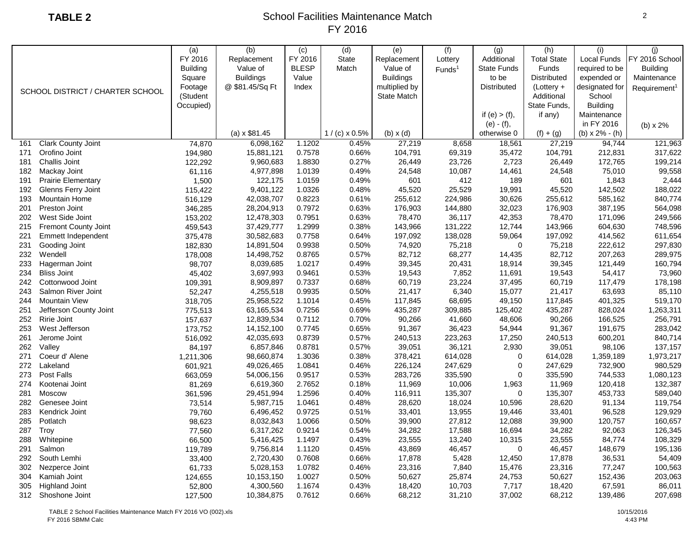| FY 2016<br>FY 2016<br><b>State</b><br>Replacement<br>Additional<br><b>Total State</b><br>Local Funds<br>FY 2016 School<br>Replacement<br>Lottery<br><b>BLESP</b><br><b>Building</b><br>Value of<br>Match<br>Value of<br><b>State Funds</b><br>Funds<br><b>Building</b><br>required to be<br>Funds <sup>1</sup><br><b>Buildings</b><br>Value<br><b>Buildings</b><br><b>Distributed</b><br>Square<br>to be<br>expended or<br>Maintenance<br>multiplied by<br>Distributed<br>Footage<br>@ \$81.45/Sq Ft<br>Index<br>$(Lottery +$<br>designated for<br>Requirement <sup>1</sup><br>SCHOOL DISTRICT / CHARTER SCHOOL<br>(Student<br>Additional<br>School<br><b>State Match</b><br>State Funds,<br><b>Building</b><br>Occupied)<br>if any)<br>Maintenance<br>if $(e) > (f)$ ,<br>in FY 2016<br>$(e) - (f),$<br>(b) x 2%<br>$(a) \times $81.45$<br>(b) $x 2% - (h)$<br>$1/(c) \times 0.5\%$<br>$(b) \times (d)$<br>$(f) + (g)$<br>otherwise 0<br>74,870<br>0.45%<br>94,744<br>121,963<br><b>Clark County Joint</b><br>6,098,162<br>1.1202<br>27,219<br>18,561<br>27,219<br>8,658<br>161<br>194,980<br>0.7578<br>0.66%<br>104,791<br>69,319<br>35,472<br>104,791<br>212,831<br>317,622<br>Orofino Joint<br>15,881,121<br>171<br>1.8830<br>199,214<br>181<br>Challis Joint<br>122,292<br>9,960,683<br>0.27%<br>26,449<br>23,726<br>2,723<br>26,449<br>172,765<br>1.0139<br>24,548<br>75,010<br>99,558<br>182<br>Mackay Joint<br>61,116<br>4,977,898<br>0.49%<br>24,548<br>10,087<br>14,461<br>2,444<br>191<br><b>Prairie Elementary</b><br>1,500<br>122,175<br>1.0159<br>0.49%<br>601<br>412<br>189<br>601<br>1,843<br>1.0326<br>192<br>Glenns Ferry Joint<br>115,422<br>9,401,122<br>0.48%<br>45,520<br>25,529<br>19,991<br>45,520<br>142,502<br>188,022<br>516,129<br>42,038,707<br>0.8223<br>585,162<br>840,774<br>193<br><b>Mountain Home</b><br>0.61%<br>255,612<br>224,986<br>30,626<br>255,612<br>346,285<br>0.7972<br>176,903<br>201<br>Preston Joint<br>28,204,913<br>0.63%<br>176,903<br>144,880<br>32,023<br>387,195<br>564,098<br>12,478,303<br>0.7951<br>249,566<br>202<br>West Side Joint<br>153,202<br>0.63%<br>78,470<br>36,117<br>42,353<br>78,470<br>171,096<br>1.2999<br><b>Fremont County Joint</b><br>459,543<br>37,429,777<br>0.38%<br>143,966<br>131,222<br>12,744<br>143,966<br>604,630<br>748,596<br>215<br>0.7758<br>221<br>Emmett Independent<br>30,582,683<br>0.64%<br>197,092<br>138,028<br>59,064<br>197,092<br>414,562<br>611,654<br>375,478<br>0.9938<br>231<br>Gooding Joint<br>14,891,504<br>0.50%<br>74,920<br>75,218<br>$\mathbf 0$<br>75,218<br>222,612<br>297,830<br>182,830<br>0.8765<br>82,712<br>68,277<br>82,712<br>289,975<br>232<br>Wendell<br>178,008<br>14,498,752<br>0.57%<br>14,435<br>207,263<br>98,707<br>1.0217<br>39,345<br>39,345<br>233<br>8,039,685<br>0.49%<br>20,431<br>18,914<br>121,449<br>160,794<br>Hagerman Joint<br>234<br><b>Bliss Joint</b><br>3,697,993<br>0.9461<br>0.53%<br>19,543<br>7,852<br>19,543<br>54,417<br>73,960<br>45,402<br>11,691<br>60,719<br>242<br>Cottonwood Joint<br>8,909,897<br>0.7337<br>60,719<br>23,224<br>117,479<br>178,198<br>109,391<br>0.68%<br>37,495<br>Salmon River Joint<br>4,255,518<br>0.9935<br>0.50%<br>21,417<br>6,340<br>15,077<br>21,417<br>63,693<br>85,110<br>243<br>52,247<br><b>Mountain View</b><br>25,958,522<br>1.1014<br>117,845<br>117,845<br>401,325<br>519,170<br>244<br>318,705<br>0.45%<br>68,695<br>49,150<br>Jefferson County Joint<br>775,513<br>63,165,534<br>0.7256<br>435,287<br>125,402<br>435,287<br>828,024<br>1,263,311<br>251<br>0.69%<br>309,885<br>Ririe Joint<br>157,637<br>12,839,534<br>0.7112<br>90,266<br>41,660<br>48,606<br>90,266<br>166,525<br>256,791<br>252<br>0.70%<br>253<br>West Jefferson<br>173,752<br>14, 152, 100<br>0.7745<br>91,367<br>283,042<br>0.65%<br>91,367<br>36,423<br>54,944<br>191,675<br>0.8739<br>240,513<br>240,513<br>840,714<br>261<br>Jerome Joint<br>516,092<br>42,035,693<br>0.57%<br>223,263<br>17,250<br>600,201<br>2,930<br>262<br>Valley<br>84,197<br>6,857,846<br>0.8781<br>0.57%<br>39,051<br>36,121<br>39,051<br>98,106<br>137,157<br>271<br>Coeur d' Alene<br>98,660,874<br>1.3036<br>0.38%<br>378,421<br>614,028<br>0<br>614,028<br>1,359,189<br>1,973,217<br>1,211,306<br>272<br>601,921<br>49,026,465<br>1.0841<br>247,629<br>$\pmb{0}$<br>247,629<br>732,900<br>980,529<br>Lakeland<br>0.46%<br>226,124<br>0.9517<br>$\pmb{0}$<br>273<br><b>Post Falls</b><br>663,059<br>54,006,156<br>0.53%<br>283,726<br>335,590<br>335,590<br>744,533<br>1,080,123<br>81,269<br>2.7652<br>11,969<br>274<br>Kootenai Joint<br>6,619,360<br>0.18%<br>11,969<br>10,006<br>1,963<br>120,418<br>132,387<br>1.2596<br>589,040<br>281<br>Moscow<br>361,596<br>29,451,994<br>0.40%<br>116,911<br>135,307<br>$\mathbf 0$<br>135,307<br>453,733<br>5,987,715<br>28,620<br>119,754<br>282<br>Genesee Joint<br>1.0461<br>0.48%<br>28,620<br>18,024<br>10,596<br>91,134<br>73,514<br>129,929<br>283<br>6,496,452<br>0.9725<br>0.51%<br>33,401<br>13,955<br>33,401<br>96,528<br>Kendrick Joint<br>79,760<br>19,446<br>39,900<br>160,657<br>285<br>Potlatch<br>8,032,843<br>1.0066<br>0.50%<br>39,900<br>27,812<br>12,088<br>120,757<br>98,623<br>Troy<br>77,560<br>6,317,262<br>0.9214<br>0.54%<br>34,282<br>17,588<br>34,282<br>92,063<br>126,345<br>287<br>16,694<br>66,500<br>5,416,425<br>1.1497<br>0.43%<br>23,555<br>13,240<br>23,555<br>84,774<br>108,329<br>288<br>Whitepine<br>10,315<br>Salmon<br>148,679<br>195,136<br>291<br>119,789<br>9,756,814<br>1.1120<br>0.45%<br>43,869<br>46,457<br>$\Omega$<br>46,457<br>South Lemhi<br>2,720,430<br>17,878<br>5,428<br>17,878<br>36,531<br>54,409<br>292<br>33,400<br>0.7608<br>0.66%<br>12,450 |     |                | (a)    | (b)       | (c)    | (d)   | (e)    | (f)   | (g)    | (h)    | (i)    | (i)     |
|---------------------------------------------------------------------------------------------------------------------------------------------------------------------------------------------------------------------------------------------------------------------------------------------------------------------------------------------------------------------------------------------------------------------------------------------------------------------------------------------------------------------------------------------------------------------------------------------------------------------------------------------------------------------------------------------------------------------------------------------------------------------------------------------------------------------------------------------------------------------------------------------------------------------------------------------------------------------------------------------------------------------------------------------------------------------------------------------------------------------------------------------------------------------------------------------------------------------------------------------------------------------------------------------------------------------------------------------------------------------------------------------------------------------------------------------------------------------------------------------------------------------------------------------------------------------------------------------------------------------------------------------------------------------------------------------------------------------------------------------------------------------------------------------------------------------------------------------------------------------------------------------------------------------------------------------------------------------------------------------------------------------------------------------------------------------------------------------------------------------------------------------------------------------------------------------------------------------------------------------------------------------------------------------------------------------------------------------------------------------------------------------------------------------------------------------------------------------------------------------------------------------------------------------------------------------------------------------------------------------------------------------------------------------------------------------------------------------------------------------------------------------------------------------------------------------------------------------------------------------------------------------------------------------------------------------------------------------------------------------------------------------------------------------------------------------------------------------------------------------------------------------------------------------------------------------------------------------------------------------------------------------------------------------------------------------------------------------------------------------------------------------------------------------------------------------------------------------------------------------------------------------------------------------------------------------------------------------------------------------------------------------------------------------------------------------------------------------------------------------------------------------------------------------------------------------------------------------------------------------------------------------------------------------------------------------------------------------------------------------------------------------------------------------------------------------------------------------------------------------------------------------------------------------------------------------------------------------------------------------------------------------------------------------------------------------------------------------------------------------------------------------------------------------------------------------------------------------------------------------------------------------------------------------------------------------------------------------------------------------------------------------------------------------------------------------------------------------------------------------------------------------------------------------------------------------------------------------------------------------------------------------------------------------------------------------------------------------------------------------------------------------------------------------------------------------------------------------------------------------------------------------------------------------------------------------------------------------------------------------------------------------------------------------------------------------------------------------------------------------------------------------------------------------------------------------------------------------------------------------------------------------------------------------------------------------------------------------------------------------------------------------------------------------------------------------------------|-----|----------------|--------|-----------|--------|-------|--------|-------|--------|--------|--------|---------|
|                                                                                                                                                                                                                                                                                                                                                                                                                                                                                                                                                                                                                                                                                                                                                                                                                                                                                                                                                                                                                                                                                                                                                                                                                                                                                                                                                                                                                                                                                                                                                                                                                                                                                                                                                                                                                                                                                                                                                                                                                                                                                                                                                                                                                                                                                                                                                                                                                                                                                                                                                                                                                                                                                                                                                                                                                                                                                                                                                                                                                                                                                                                                                                                                                                                                                                                                                                                                                                                                                                                                                                                                                                                                                                                                                                                                                                                                                                                                                                                                                                                                                                                                                                                                                                                                                                                                                                                                                                                                                                                                                                                                                                                                                                                                                                                                                                                                                                                                                                                                                                                                                                                                                                                                                                                                                                                                                                                                                                                                                                                                                                                                                                                                                                         |     |                |        |           |        |       |        |       |        |        |        |         |
|                                                                                                                                                                                                                                                                                                                                                                                                                                                                                                                                                                                                                                                                                                                                                                                                                                                                                                                                                                                                                                                                                                                                                                                                                                                                                                                                                                                                                                                                                                                                                                                                                                                                                                                                                                                                                                                                                                                                                                                                                                                                                                                                                                                                                                                                                                                                                                                                                                                                                                                                                                                                                                                                                                                                                                                                                                                                                                                                                                                                                                                                                                                                                                                                                                                                                                                                                                                                                                                                                                                                                                                                                                                                                                                                                                                                                                                                                                                                                                                                                                                                                                                                                                                                                                                                                                                                                                                                                                                                                                                                                                                                                                                                                                                                                                                                                                                                                                                                                                                                                                                                                                                                                                                                                                                                                                                                                                                                                                                                                                                                                                                                                                                                                                         |     |                |        |           |        |       |        |       |        |        |        |         |
|                                                                                                                                                                                                                                                                                                                                                                                                                                                                                                                                                                                                                                                                                                                                                                                                                                                                                                                                                                                                                                                                                                                                                                                                                                                                                                                                                                                                                                                                                                                                                                                                                                                                                                                                                                                                                                                                                                                                                                                                                                                                                                                                                                                                                                                                                                                                                                                                                                                                                                                                                                                                                                                                                                                                                                                                                                                                                                                                                                                                                                                                                                                                                                                                                                                                                                                                                                                                                                                                                                                                                                                                                                                                                                                                                                                                                                                                                                                                                                                                                                                                                                                                                                                                                                                                                                                                                                                                                                                                                                                                                                                                                                                                                                                                                                                                                                                                                                                                                                                                                                                                                                                                                                                                                                                                                                                                                                                                                                                                                                                                                                                                                                                                                                         |     |                |        |           |        |       |        |       |        |        |        |         |
|                                                                                                                                                                                                                                                                                                                                                                                                                                                                                                                                                                                                                                                                                                                                                                                                                                                                                                                                                                                                                                                                                                                                                                                                                                                                                                                                                                                                                                                                                                                                                                                                                                                                                                                                                                                                                                                                                                                                                                                                                                                                                                                                                                                                                                                                                                                                                                                                                                                                                                                                                                                                                                                                                                                                                                                                                                                                                                                                                                                                                                                                                                                                                                                                                                                                                                                                                                                                                                                                                                                                                                                                                                                                                                                                                                                                                                                                                                                                                                                                                                                                                                                                                                                                                                                                                                                                                                                                                                                                                                                                                                                                                                                                                                                                                                                                                                                                                                                                                                                                                                                                                                                                                                                                                                                                                                                                                                                                                                                                                                                                                                                                                                                                                                         |     |                |        |           |        |       |        |       |        |        |        |         |
|                                                                                                                                                                                                                                                                                                                                                                                                                                                                                                                                                                                                                                                                                                                                                                                                                                                                                                                                                                                                                                                                                                                                                                                                                                                                                                                                                                                                                                                                                                                                                                                                                                                                                                                                                                                                                                                                                                                                                                                                                                                                                                                                                                                                                                                                                                                                                                                                                                                                                                                                                                                                                                                                                                                                                                                                                                                                                                                                                                                                                                                                                                                                                                                                                                                                                                                                                                                                                                                                                                                                                                                                                                                                                                                                                                                                                                                                                                                                                                                                                                                                                                                                                                                                                                                                                                                                                                                                                                                                                                                                                                                                                                                                                                                                                                                                                                                                                                                                                                                                                                                                                                                                                                                                                                                                                                                                                                                                                                                                                                                                                                                                                                                                                                         |     |                |        |           |        |       |        |       |        |        |        |         |
|                                                                                                                                                                                                                                                                                                                                                                                                                                                                                                                                                                                                                                                                                                                                                                                                                                                                                                                                                                                                                                                                                                                                                                                                                                                                                                                                                                                                                                                                                                                                                                                                                                                                                                                                                                                                                                                                                                                                                                                                                                                                                                                                                                                                                                                                                                                                                                                                                                                                                                                                                                                                                                                                                                                                                                                                                                                                                                                                                                                                                                                                                                                                                                                                                                                                                                                                                                                                                                                                                                                                                                                                                                                                                                                                                                                                                                                                                                                                                                                                                                                                                                                                                                                                                                                                                                                                                                                                                                                                                                                                                                                                                                                                                                                                                                                                                                                                                                                                                                                                                                                                                                                                                                                                                                                                                                                                                                                                                                                                                                                                                                                                                                                                                                         |     |                |        |           |        |       |        |       |        |        |        |         |
|                                                                                                                                                                                                                                                                                                                                                                                                                                                                                                                                                                                                                                                                                                                                                                                                                                                                                                                                                                                                                                                                                                                                                                                                                                                                                                                                                                                                                                                                                                                                                                                                                                                                                                                                                                                                                                                                                                                                                                                                                                                                                                                                                                                                                                                                                                                                                                                                                                                                                                                                                                                                                                                                                                                                                                                                                                                                                                                                                                                                                                                                                                                                                                                                                                                                                                                                                                                                                                                                                                                                                                                                                                                                                                                                                                                                                                                                                                                                                                                                                                                                                                                                                                                                                                                                                                                                                                                                                                                                                                                                                                                                                                                                                                                                                                                                                                                                                                                                                                                                                                                                                                                                                                                                                                                                                                                                                                                                                                                                                                                                                                                                                                                                                                         |     |                |        |           |        |       |        |       |        |        |        |         |
|                                                                                                                                                                                                                                                                                                                                                                                                                                                                                                                                                                                                                                                                                                                                                                                                                                                                                                                                                                                                                                                                                                                                                                                                                                                                                                                                                                                                                                                                                                                                                                                                                                                                                                                                                                                                                                                                                                                                                                                                                                                                                                                                                                                                                                                                                                                                                                                                                                                                                                                                                                                                                                                                                                                                                                                                                                                                                                                                                                                                                                                                                                                                                                                                                                                                                                                                                                                                                                                                                                                                                                                                                                                                                                                                                                                                                                                                                                                                                                                                                                                                                                                                                                                                                                                                                                                                                                                                                                                                                                                                                                                                                                                                                                                                                                                                                                                                                                                                                                                                                                                                                                                                                                                                                                                                                                                                                                                                                                                                                                                                                                                                                                                                                                         |     |                |        |           |        |       |        |       |        |        |        |         |
|                                                                                                                                                                                                                                                                                                                                                                                                                                                                                                                                                                                                                                                                                                                                                                                                                                                                                                                                                                                                                                                                                                                                                                                                                                                                                                                                                                                                                                                                                                                                                                                                                                                                                                                                                                                                                                                                                                                                                                                                                                                                                                                                                                                                                                                                                                                                                                                                                                                                                                                                                                                                                                                                                                                                                                                                                                                                                                                                                                                                                                                                                                                                                                                                                                                                                                                                                                                                                                                                                                                                                                                                                                                                                                                                                                                                                                                                                                                                                                                                                                                                                                                                                                                                                                                                                                                                                                                                                                                                                                                                                                                                                                                                                                                                                                                                                                                                                                                                                                                                                                                                                                                                                                                                                                                                                                                                                                                                                                                                                                                                                                                                                                                                                                         |     |                |        |           |        |       |        |       |        |        |        |         |
|                                                                                                                                                                                                                                                                                                                                                                                                                                                                                                                                                                                                                                                                                                                                                                                                                                                                                                                                                                                                                                                                                                                                                                                                                                                                                                                                                                                                                                                                                                                                                                                                                                                                                                                                                                                                                                                                                                                                                                                                                                                                                                                                                                                                                                                                                                                                                                                                                                                                                                                                                                                                                                                                                                                                                                                                                                                                                                                                                                                                                                                                                                                                                                                                                                                                                                                                                                                                                                                                                                                                                                                                                                                                                                                                                                                                                                                                                                                                                                                                                                                                                                                                                                                                                                                                                                                                                                                                                                                                                                                                                                                                                                                                                                                                                                                                                                                                                                                                                                                                                                                                                                                                                                                                                                                                                                                                                                                                                                                                                                                                                                                                                                                                                                         |     |                |        |           |        |       |        |       |        |        |        |         |
|                                                                                                                                                                                                                                                                                                                                                                                                                                                                                                                                                                                                                                                                                                                                                                                                                                                                                                                                                                                                                                                                                                                                                                                                                                                                                                                                                                                                                                                                                                                                                                                                                                                                                                                                                                                                                                                                                                                                                                                                                                                                                                                                                                                                                                                                                                                                                                                                                                                                                                                                                                                                                                                                                                                                                                                                                                                                                                                                                                                                                                                                                                                                                                                                                                                                                                                                                                                                                                                                                                                                                                                                                                                                                                                                                                                                                                                                                                                                                                                                                                                                                                                                                                                                                                                                                                                                                                                                                                                                                                                                                                                                                                                                                                                                                                                                                                                                                                                                                                                                                                                                                                                                                                                                                                                                                                                                                                                                                                                                                                                                                                                                                                                                                                         |     |                |        |           |        |       |        |       |        |        |        |         |
|                                                                                                                                                                                                                                                                                                                                                                                                                                                                                                                                                                                                                                                                                                                                                                                                                                                                                                                                                                                                                                                                                                                                                                                                                                                                                                                                                                                                                                                                                                                                                                                                                                                                                                                                                                                                                                                                                                                                                                                                                                                                                                                                                                                                                                                                                                                                                                                                                                                                                                                                                                                                                                                                                                                                                                                                                                                                                                                                                                                                                                                                                                                                                                                                                                                                                                                                                                                                                                                                                                                                                                                                                                                                                                                                                                                                                                                                                                                                                                                                                                                                                                                                                                                                                                                                                                                                                                                                                                                                                                                                                                                                                                                                                                                                                                                                                                                                                                                                                                                                                                                                                                                                                                                                                                                                                                                                                                                                                                                                                                                                                                                                                                                                                                         |     |                |        |           |        |       |        |       |        |        |        |         |
|                                                                                                                                                                                                                                                                                                                                                                                                                                                                                                                                                                                                                                                                                                                                                                                                                                                                                                                                                                                                                                                                                                                                                                                                                                                                                                                                                                                                                                                                                                                                                                                                                                                                                                                                                                                                                                                                                                                                                                                                                                                                                                                                                                                                                                                                                                                                                                                                                                                                                                                                                                                                                                                                                                                                                                                                                                                                                                                                                                                                                                                                                                                                                                                                                                                                                                                                                                                                                                                                                                                                                                                                                                                                                                                                                                                                                                                                                                                                                                                                                                                                                                                                                                                                                                                                                                                                                                                                                                                                                                                                                                                                                                                                                                                                                                                                                                                                                                                                                                                                                                                                                                                                                                                                                                                                                                                                                                                                                                                                                                                                                                                                                                                                                                         |     |                |        |           |        |       |        |       |        |        |        |         |
|                                                                                                                                                                                                                                                                                                                                                                                                                                                                                                                                                                                                                                                                                                                                                                                                                                                                                                                                                                                                                                                                                                                                                                                                                                                                                                                                                                                                                                                                                                                                                                                                                                                                                                                                                                                                                                                                                                                                                                                                                                                                                                                                                                                                                                                                                                                                                                                                                                                                                                                                                                                                                                                                                                                                                                                                                                                                                                                                                                                                                                                                                                                                                                                                                                                                                                                                                                                                                                                                                                                                                                                                                                                                                                                                                                                                                                                                                                                                                                                                                                                                                                                                                                                                                                                                                                                                                                                                                                                                                                                                                                                                                                                                                                                                                                                                                                                                                                                                                                                                                                                                                                                                                                                                                                                                                                                                                                                                                                                                                                                                                                                                                                                                                                         |     |                |        |           |        |       |        |       |        |        |        |         |
|                                                                                                                                                                                                                                                                                                                                                                                                                                                                                                                                                                                                                                                                                                                                                                                                                                                                                                                                                                                                                                                                                                                                                                                                                                                                                                                                                                                                                                                                                                                                                                                                                                                                                                                                                                                                                                                                                                                                                                                                                                                                                                                                                                                                                                                                                                                                                                                                                                                                                                                                                                                                                                                                                                                                                                                                                                                                                                                                                                                                                                                                                                                                                                                                                                                                                                                                                                                                                                                                                                                                                                                                                                                                                                                                                                                                                                                                                                                                                                                                                                                                                                                                                                                                                                                                                                                                                                                                                                                                                                                                                                                                                                                                                                                                                                                                                                                                                                                                                                                                                                                                                                                                                                                                                                                                                                                                                                                                                                                                                                                                                                                                                                                                                                         |     |                |        |           |        |       |        |       |        |        |        |         |
|                                                                                                                                                                                                                                                                                                                                                                                                                                                                                                                                                                                                                                                                                                                                                                                                                                                                                                                                                                                                                                                                                                                                                                                                                                                                                                                                                                                                                                                                                                                                                                                                                                                                                                                                                                                                                                                                                                                                                                                                                                                                                                                                                                                                                                                                                                                                                                                                                                                                                                                                                                                                                                                                                                                                                                                                                                                                                                                                                                                                                                                                                                                                                                                                                                                                                                                                                                                                                                                                                                                                                                                                                                                                                                                                                                                                                                                                                                                                                                                                                                                                                                                                                                                                                                                                                                                                                                                                                                                                                                                                                                                                                                                                                                                                                                                                                                                                                                                                                                                                                                                                                                                                                                                                                                                                                                                                                                                                                                                                                                                                                                                                                                                                                                         |     |                |        |           |        |       |        |       |        |        |        |         |
|                                                                                                                                                                                                                                                                                                                                                                                                                                                                                                                                                                                                                                                                                                                                                                                                                                                                                                                                                                                                                                                                                                                                                                                                                                                                                                                                                                                                                                                                                                                                                                                                                                                                                                                                                                                                                                                                                                                                                                                                                                                                                                                                                                                                                                                                                                                                                                                                                                                                                                                                                                                                                                                                                                                                                                                                                                                                                                                                                                                                                                                                                                                                                                                                                                                                                                                                                                                                                                                                                                                                                                                                                                                                                                                                                                                                                                                                                                                                                                                                                                                                                                                                                                                                                                                                                                                                                                                                                                                                                                                                                                                                                                                                                                                                                                                                                                                                                                                                                                                                                                                                                                                                                                                                                                                                                                                                                                                                                                                                                                                                                                                                                                                                                                         |     |                |        |           |        |       |        |       |        |        |        |         |
|                                                                                                                                                                                                                                                                                                                                                                                                                                                                                                                                                                                                                                                                                                                                                                                                                                                                                                                                                                                                                                                                                                                                                                                                                                                                                                                                                                                                                                                                                                                                                                                                                                                                                                                                                                                                                                                                                                                                                                                                                                                                                                                                                                                                                                                                                                                                                                                                                                                                                                                                                                                                                                                                                                                                                                                                                                                                                                                                                                                                                                                                                                                                                                                                                                                                                                                                                                                                                                                                                                                                                                                                                                                                                                                                                                                                                                                                                                                                                                                                                                                                                                                                                                                                                                                                                                                                                                                                                                                                                                                                                                                                                                                                                                                                                                                                                                                                                                                                                                                                                                                                                                                                                                                                                                                                                                                                                                                                                                                                                                                                                                                                                                                                                                         |     |                |        |           |        |       |        |       |        |        |        |         |
|                                                                                                                                                                                                                                                                                                                                                                                                                                                                                                                                                                                                                                                                                                                                                                                                                                                                                                                                                                                                                                                                                                                                                                                                                                                                                                                                                                                                                                                                                                                                                                                                                                                                                                                                                                                                                                                                                                                                                                                                                                                                                                                                                                                                                                                                                                                                                                                                                                                                                                                                                                                                                                                                                                                                                                                                                                                                                                                                                                                                                                                                                                                                                                                                                                                                                                                                                                                                                                                                                                                                                                                                                                                                                                                                                                                                                                                                                                                                                                                                                                                                                                                                                                                                                                                                                                                                                                                                                                                                                                                                                                                                                                                                                                                                                                                                                                                                                                                                                                                                                                                                                                                                                                                                                                                                                                                                                                                                                                                                                                                                                                                                                                                                                                         |     |                |        |           |        |       |        |       |        |        |        |         |
|                                                                                                                                                                                                                                                                                                                                                                                                                                                                                                                                                                                                                                                                                                                                                                                                                                                                                                                                                                                                                                                                                                                                                                                                                                                                                                                                                                                                                                                                                                                                                                                                                                                                                                                                                                                                                                                                                                                                                                                                                                                                                                                                                                                                                                                                                                                                                                                                                                                                                                                                                                                                                                                                                                                                                                                                                                                                                                                                                                                                                                                                                                                                                                                                                                                                                                                                                                                                                                                                                                                                                                                                                                                                                                                                                                                                                                                                                                                                                                                                                                                                                                                                                                                                                                                                                                                                                                                                                                                                                                                                                                                                                                                                                                                                                                                                                                                                                                                                                                                                                                                                                                                                                                                                                                                                                                                                                                                                                                                                                                                                                                                                                                                                                                         |     |                |        |           |        |       |        |       |        |        |        |         |
|                                                                                                                                                                                                                                                                                                                                                                                                                                                                                                                                                                                                                                                                                                                                                                                                                                                                                                                                                                                                                                                                                                                                                                                                                                                                                                                                                                                                                                                                                                                                                                                                                                                                                                                                                                                                                                                                                                                                                                                                                                                                                                                                                                                                                                                                                                                                                                                                                                                                                                                                                                                                                                                                                                                                                                                                                                                                                                                                                                                                                                                                                                                                                                                                                                                                                                                                                                                                                                                                                                                                                                                                                                                                                                                                                                                                                                                                                                                                                                                                                                                                                                                                                                                                                                                                                                                                                                                                                                                                                                                                                                                                                                                                                                                                                                                                                                                                                                                                                                                                                                                                                                                                                                                                                                                                                                                                                                                                                                                                                                                                                                                                                                                                                                         |     |                |        |           |        |       |        |       |        |        |        |         |
|                                                                                                                                                                                                                                                                                                                                                                                                                                                                                                                                                                                                                                                                                                                                                                                                                                                                                                                                                                                                                                                                                                                                                                                                                                                                                                                                                                                                                                                                                                                                                                                                                                                                                                                                                                                                                                                                                                                                                                                                                                                                                                                                                                                                                                                                                                                                                                                                                                                                                                                                                                                                                                                                                                                                                                                                                                                                                                                                                                                                                                                                                                                                                                                                                                                                                                                                                                                                                                                                                                                                                                                                                                                                                                                                                                                                                                                                                                                                                                                                                                                                                                                                                                                                                                                                                                                                                                                                                                                                                                                                                                                                                                                                                                                                                                                                                                                                                                                                                                                                                                                                                                                                                                                                                                                                                                                                                                                                                                                                                                                                                                                                                                                                                                         |     |                |        |           |        |       |        |       |        |        |        |         |
|                                                                                                                                                                                                                                                                                                                                                                                                                                                                                                                                                                                                                                                                                                                                                                                                                                                                                                                                                                                                                                                                                                                                                                                                                                                                                                                                                                                                                                                                                                                                                                                                                                                                                                                                                                                                                                                                                                                                                                                                                                                                                                                                                                                                                                                                                                                                                                                                                                                                                                                                                                                                                                                                                                                                                                                                                                                                                                                                                                                                                                                                                                                                                                                                                                                                                                                                                                                                                                                                                                                                                                                                                                                                                                                                                                                                                                                                                                                                                                                                                                                                                                                                                                                                                                                                                                                                                                                                                                                                                                                                                                                                                                                                                                                                                                                                                                                                                                                                                                                                                                                                                                                                                                                                                                                                                                                                                                                                                                                                                                                                                                                                                                                                                                         |     |                |        |           |        |       |        |       |        |        |        |         |
|                                                                                                                                                                                                                                                                                                                                                                                                                                                                                                                                                                                                                                                                                                                                                                                                                                                                                                                                                                                                                                                                                                                                                                                                                                                                                                                                                                                                                                                                                                                                                                                                                                                                                                                                                                                                                                                                                                                                                                                                                                                                                                                                                                                                                                                                                                                                                                                                                                                                                                                                                                                                                                                                                                                                                                                                                                                                                                                                                                                                                                                                                                                                                                                                                                                                                                                                                                                                                                                                                                                                                                                                                                                                                                                                                                                                                                                                                                                                                                                                                                                                                                                                                                                                                                                                                                                                                                                                                                                                                                                                                                                                                                                                                                                                                                                                                                                                                                                                                                                                                                                                                                                                                                                                                                                                                                                                                                                                                                                                                                                                                                                                                                                                                                         |     |                |        |           |        |       |        |       |        |        |        |         |
|                                                                                                                                                                                                                                                                                                                                                                                                                                                                                                                                                                                                                                                                                                                                                                                                                                                                                                                                                                                                                                                                                                                                                                                                                                                                                                                                                                                                                                                                                                                                                                                                                                                                                                                                                                                                                                                                                                                                                                                                                                                                                                                                                                                                                                                                                                                                                                                                                                                                                                                                                                                                                                                                                                                                                                                                                                                                                                                                                                                                                                                                                                                                                                                                                                                                                                                                                                                                                                                                                                                                                                                                                                                                                                                                                                                                                                                                                                                                                                                                                                                                                                                                                                                                                                                                                                                                                                                                                                                                                                                                                                                                                                                                                                                                                                                                                                                                                                                                                                                                                                                                                                                                                                                                                                                                                                                                                                                                                                                                                                                                                                                                                                                                                                         |     |                |        |           |        |       |        |       |        |        |        |         |
|                                                                                                                                                                                                                                                                                                                                                                                                                                                                                                                                                                                                                                                                                                                                                                                                                                                                                                                                                                                                                                                                                                                                                                                                                                                                                                                                                                                                                                                                                                                                                                                                                                                                                                                                                                                                                                                                                                                                                                                                                                                                                                                                                                                                                                                                                                                                                                                                                                                                                                                                                                                                                                                                                                                                                                                                                                                                                                                                                                                                                                                                                                                                                                                                                                                                                                                                                                                                                                                                                                                                                                                                                                                                                                                                                                                                                                                                                                                                                                                                                                                                                                                                                                                                                                                                                                                                                                                                                                                                                                                                                                                                                                                                                                                                                                                                                                                                                                                                                                                                                                                                                                                                                                                                                                                                                                                                                                                                                                                                                                                                                                                                                                                                                                         |     |                |        |           |        |       |        |       |        |        |        |         |
|                                                                                                                                                                                                                                                                                                                                                                                                                                                                                                                                                                                                                                                                                                                                                                                                                                                                                                                                                                                                                                                                                                                                                                                                                                                                                                                                                                                                                                                                                                                                                                                                                                                                                                                                                                                                                                                                                                                                                                                                                                                                                                                                                                                                                                                                                                                                                                                                                                                                                                                                                                                                                                                                                                                                                                                                                                                                                                                                                                                                                                                                                                                                                                                                                                                                                                                                                                                                                                                                                                                                                                                                                                                                                                                                                                                                                                                                                                                                                                                                                                                                                                                                                                                                                                                                                                                                                                                                                                                                                                                                                                                                                                                                                                                                                                                                                                                                                                                                                                                                                                                                                                                                                                                                                                                                                                                                                                                                                                                                                                                                                                                                                                                                                                         |     |                |        |           |        |       |        |       |        |        |        |         |
|                                                                                                                                                                                                                                                                                                                                                                                                                                                                                                                                                                                                                                                                                                                                                                                                                                                                                                                                                                                                                                                                                                                                                                                                                                                                                                                                                                                                                                                                                                                                                                                                                                                                                                                                                                                                                                                                                                                                                                                                                                                                                                                                                                                                                                                                                                                                                                                                                                                                                                                                                                                                                                                                                                                                                                                                                                                                                                                                                                                                                                                                                                                                                                                                                                                                                                                                                                                                                                                                                                                                                                                                                                                                                                                                                                                                                                                                                                                                                                                                                                                                                                                                                                                                                                                                                                                                                                                                                                                                                                                                                                                                                                                                                                                                                                                                                                                                                                                                                                                                                                                                                                                                                                                                                                                                                                                                                                                                                                                                                                                                                                                                                                                                                                         |     |                |        |           |        |       |        |       |        |        |        |         |
|                                                                                                                                                                                                                                                                                                                                                                                                                                                                                                                                                                                                                                                                                                                                                                                                                                                                                                                                                                                                                                                                                                                                                                                                                                                                                                                                                                                                                                                                                                                                                                                                                                                                                                                                                                                                                                                                                                                                                                                                                                                                                                                                                                                                                                                                                                                                                                                                                                                                                                                                                                                                                                                                                                                                                                                                                                                                                                                                                                                                                                                                                                                                                                                                                                                                                                                                                                                                                                                                                                                                                                                                                                                                                                                                                                                                                                                                                                                                                                                                                                                                                                                                                                                                                                                                                                                                                                                                                                                                                                                                                                                                                                                                                                                                                                                                                                                                                                                                                                                                                                                                                                                                                                                                                                                                                                                                                                                                                                                                                                                                                                                                                                                                                                         |     |                |        |           |        |       |        |       |        |        |        |         |
|                                                                                                                                                                                                                                                                                                                                                                                                                                                                                                                                                                                                                                                                                                                                                                                                                                                                                                                                                                                                                                                                                                                                                                                                                                                                                                                                                                                                                                                                                                                                                                                                                                                                                                                                                                                                                                                                                                                                                                                                                                                                                                                                                                                                                                                                                                                                                                                                                                                                                                                                                                                                                                                                                                                                                                                                                                                                                                                                                                                                                                                                                                                                                                                                                                                                                                                                                                                                                                                                                                                                                                                                                                                                                                                                                                                                                                                                                                                                                                                                                                                                                                                                                                                                                                                                                                                                                                                                                                                                                                                                                                                                                                                                                                                                                                                                                                                                                                                                                                                                                                                                                                                                                                                                                                                                                                                                                                                                                                                                                                                                                                                                                                                                                                         |     |                |        |           |        |       |        |       |        |        |        |         |
|                                                                                                                                                                                                                                                                                                                                                                                                                                                                                                                                                                                                                                                                                                                                                                                                                                                                                                                                                                                                                                                                                                                                                                                                                                                                                                                                                                                                                                                                                                                                                                                                                                                                                                                                                                                                                                                                                                                                                                                                                                                                                                                                                                                                                                                                                                                                                                                                                                                                                                                                                                                                                                                                                                                                                                                                                                                                                                                                                                                                                                                                                                                                                                                                                                                                                                                                                                                                                                                                                                                                                                                                                                                                                                                                                                                                                                                                                                                                                                                                                                                                                                                                                                                                                                                                                                                                                                                                                                                                                                                                                                                                                                                                                                                                                                                                                                                                                                                                                                                                                                                                                                                                                                                                                                                                                                                                                                                                                                                                                                                                                                                                                                                                                                         |     |                |        |           |        |       |        |       |        |        |        |         |
|                                                                                                                                                                                                                                                                                                                                                                                                                                                                                                                                                                                                                                                                                                                                                                                                                                                                                                                                                                                                                                                                                                                                                                                                                                                                                                                                                                                                                                                                                                                                                                                                                                                                                                                                                                                                                                                                                                                                                                                                                                                                                                                                                                                                                                                                                                                                                                                                                                                                                                                                                                                                                                                                                                                                                                                                                                                                                                                                                                                                                                                                                                                                                                                                                                                                                                                                                                                                                                                                                                                                                                                                                                                                                                                                                                                                                                                                                                                                                                                                                                                                                                                                                                                                                                                                                                                                                                                                                                                                                                                                                                                                                                                                                                                                                                                                                                                                                                                                                                                                                                                                                                                                                                                                                                                                                                                                                                                                                                                                                                                                                                                                                                                                                                         |     |                |        |           |        |       |        |       |        |        |        |         |
|                                                                                                                                                                                                                                                                                                                                                                                                                                                                                                                                                                                                                                                                                                                                                                                                                                                                                                                                                                                                                                                                                                                                                                                                                                                                                                                                                                                                                                                                                                                                                                                                                                                                                                                                                                                                                                                                                                                                                                                                                                                                                                                                                                                                                                                                                                                                                                                                                                                                                                                                                                                                                                                                                                                                                                                                                                                                                                                                                                                                                                                                                                                                                                                                                                                                                                                                                                                                                                                                                                                                                                                                                                                                                                                                                                                                                                                                                                                                                                                                                                                                                                                                                                                                                                                                                                                                                                                                                                                                                                                                                                                                                                                                                                                                                                                                                                                                                                                                                                                                                                                                                                                                                                                                                                                                                                                                                                                                                                                                                                                                                                                                                                                                                                         |     |                |        |           |        |       |        |       |        |        |        |         |
|                                                                                                                                                                                                                                                                                                                                                                                                                                                                                                                                                                                                                                                                                                                                                                                                                                                                                                                                                                                                                                                                                                                                                                                                                                                                                                                                                                                                                                                                                                                                                                                                                                                                                                                                                                                                                                                                                                                                                                                                                                                                                                                                                                                                                                                                                                                                                                                                                                                                                                                                                                                                                                                                                                                                                                                                                                                                                                                                                                                                                                                                                                                                                                                                                                                                                                                                                                                                                                                                                                                                                                                                                                                                                                                                                                                                                                                                                                                                                                                                                                                                                                                                                                                                                                                                                                                                                                                                                                                                                                                                                                                                                                                                                                                                                                                                                                                                                                                                                                                                                                                                                                                                                                                                                                                                                                                                                                                                                                                                                                                                                                                                                                                                                                         |     |                |        |           |        |       |        |       |        |        |        |         |
|                                                                                                                                                                                                                                                                                                                                                                                                                                                                                                                                                                                                                                                                                                                                                                                                                                                                                                                                                                                                                                                                                                                                                                                                                                                                                                                                                                                                                                                                                                                                                                                                                                                                                                                                                                                                                                                                                                                                                                                                                                                                                                                                                                                                                                                                                                                                                                                                                                                                                                                                                                                                                                                                                                                                                                                                                                                                                                                                                                                                                                                                                                                                                                                                                                                                                                                                                                                                                                                                                                                                                                                                                                                                                                                                                                                                                                                                                                                                                                                                                                                                                                                                                                                                                                                                                                                                                                                                                                                                                                                                                                                                                                                                                                                                                                                                                                                                                                                                                                                                                                                                                                                                                                                                                                                                                                                                                                                                                                                                                                                                                                                                                                                                                                         |     |                |        |           |        |       |        |       |        |        |        |         |
|                                                                                                                                                                                                                                                                                                                                                                                                                                                                                                                                                                                                                                                                                                                                                                                                                                                                                                                                                                                                                                                                                                                                                                                                                                                                                                                                                                                                                                                                                                                                                                                                                                                                                                                                                                                                                                                                                                                                                                                                                                                                                                                                                                                                                                                                                                                                                                                                                                                                                                                                                                                                                                                                                                                                                                                                                                                                                                                                                                                                                                                                                                                                                                                                                                                                                                                                                                                                                                                                                                                                                                                                                                                                                                                                                                                                                                                                                                                                                                                                                                                                                                                                                                                                                                                                                                                                                                                                                                                                                                                                                                                                                                                                                                                                                                                                                                                                                                                                                                                                                                                                                                                                                                                                                                                                                                                                                                                                                                                                                                                                                                                                                                                                                                         |     |                |        |           |        |       |        |       |        |        |        |         |
|                                                                                                                                                                                                                                                                                                                                                                                                                                                                                                                                                                                                                                                                                                                                                                                                                                                                                                                                                                                                                                                                                                                                                                                                                                                                                                                                                                                                                                                                                                                                                                                                                                                                                                                                                                                                                                                                                                                                                                                                                                                                                                                                                                                                                                                                                                                                                                                                                                                                                                                                                                                                                                                                                                                                                                                                                                                                                                                                                                                                                                                                                                                                                                                                                                                                                                                                                                                                                                                                                                                                                                                                                                                                                                                                                                                                                                                                                                                                                                                                                                                                                                                                                                                                                                                                                                                                                                                                                                                                                                                                                                                                                                                                                                                                                                                                                                                                                                                                                                                                                                                                                                                                                                                                                                                                                                                                                                                                                                                                                                                                                                                                                                                                                                         |     |                |        |           |        |       |        |       |        |        |        |         |
|                                                                                                                                                                                                                                                                                                                                                                                                                                                                                                                                                                                                                                                                                                                                                                                                                                                                                                                                                                                                                                                                                                                                                                                                                                                                                                                                                                                                                                                                                                                                                                                                                                                                                                                                                                                                                                                                                                                                                                                                                                                                                                                                                                                                                                                                                                                                                                                                                                                                                                                                                                                                                                                                                                                                                                                                                                                                                                                                                                                                                                                                                                                                                                                                                                                                                                                                                                                                                                                                                                                                                                                                                                                                                                                                                                                                                                                                                                                                                                                                                                                                                                                                                                                                                                                                                                                                                                                                                                                                                                                                                                                                                                                                                                                                                                                                                                                                                                                                                                                                                                                                                                                                                                                                                                                                                                                                                                                                                                                                                                                                                                                                                                                                                                         |     |                |        |           |        |       |        |       |        |        |        |         |
|                                                                                                                                                                                                                                                                                                                                                                                                                                                                                                                                                                                                                                                                                                                                                                                                                                                                                                                                                                                                                                                                                                                                                                                                                                                                                                                                                                                                                                                                                                                                                                                                                                                                                                                                                                                                                                                                                                                                                                                                                                                                                                                                                                                                                                                                                                                                                                                                                                                                                                                                                                                                                                                                                                                                                                                                                                                                                                                                                                                                                                                                                                                                                                                                                                                                                                                                                                                                                                                                                                                                                                                                                                                                                                                                                                                                                                                                                                                                                                                                                                                                                                                                                                                                                                                                                                                                                                                                                                                                                                                                                                                                                                                                                                                                                                                                                                                                                                                                                                                                                                                                                                                                                                                                                                                                                                                                                                                                                                                                                                                                                                                                                                                                                                         |     |                |        |           |        |       |        |       |        |        |        |         |
|                                                                                                                                                                                                                                                                                                                                                                                                                                                                                                                                                                                                                                                                                                                                                                                                                                                                                                                                                                                                                                                                                                                                                                                                                                                                                                                                                                                                                                                                                                                                                                                                                                                                                                                                                                                                                                                                                                                                                                                                                                                                                                                                                                                                                                                                                                                                                                                                                                                                                                                                                                                                                                                                                                                                                                                                                                                                                                                                                                                                                                                                                                                                                                                                                                                                                                                                                                                                                                                                                                                                                                                                                                                                                                                                                                                                                                                                                                                                                                                                                                                                                                                                                                                                                                                                                                                                                                                                                                                                                                                                                                                                                                                                                                                                                                                                                                                                                                                                                                                                                                                                                                                                                                                                                                                                                                                                                                                                                                                                                                                                                                                                                                                                                                         |     |                |        |           |        |       |        |       |        |        |        |         |
|                                                                                                                                                                                                                                                                                                                                                                                                                                                                                                                                                                                                                                                                                                                                                                                                                                                                                                                                                                                                                                                                                                                                                                                                                                                                                                                                                                                                                                                                                                                                                                                                                                                                                                                                                                                                                                                                                                                                                                                                                                                                                                                                                                                                                                                                                                                                                                                                                                                                                                                                                                                                                                                                                                                                                                                                                                                                                                                                                                                                                                                                                                                                                                                                                                                                                                                                                                                                                                                                                                                                                                                                                                                                                                                                                                                                                                                                                                                                                                                                                                                                                                                                                                                                                                                                                                                                                                                                                                                                                                                                                                                                                                                                                                                                                                                                                                                                                                                                                                                                                                                                                                                                                                                                                                                                                                                                                                                                                                                                                                                                                                                                                                                                                                         |     |                |        |           |        |       |        |       |        |        |        |         |
|                                                                                                                                                                                                                                                                                                                                                                                                                                                                                                                                                                                                                                                                                                                                                                                                                                                                                                                                                                                                                                                                                                                                                                                                                                                                                                                                                                                                                                                                                                                                                                                                                                                                                                                                                                                                                                                                                                                                                                                                                                                                                                                                                                                                                                                                                                                                                                                                                                                                                                                                                                                                                                                                                                                                                                                                                                                                                                                                                                                                                                                                                                                                                                                                                                                                                                                                                                                                                                                                                                                                                                                                                                                                                                                                                                                                                                                                                                                                                                                                                                                                                                                                                                                                                                                                                                                                                                                                                                                                                                                                                                                                                                                                                                                                                                                                                                                                                                                                                                                                                                                                                                                                                                                                                                                                                                                                                                                                                                                                                                                                                                                                                                                                                                         |     |                |        |           |        |       |        |       |        |        |        |         |
|                                                                                                                                                                                                                                                                                                                                                                                                                                                                                                                                                                                                                                                                                                                                                                                                                                                                                                                                                                                                                                                                                                                                                                                                                                                                                                                                                                                                                                                                                                                                                                                                                                                                                                                                                                                                                                                                                                                                                                                                                                                                                                                                                                                                                                                                                                                                                                                                                                                                                                                                                                                                                                                                                                                                                                                                                                                                                                                                                                                                                                                                                                                                                                                                                                                                                                                                                                                                                                                                                                                                                                                                                                                                                                                                                                                                                                                                                                                                                                                                                                                                                                                                                                                                                                                                                                                                                                                                                                                                                                                                                                                                                                                                                                                                                                                                                                                                                                                                                                                                                                                                                                                                                                                                                                                                                                                                                                                                                                                                                                                                                                                                                                                                                                         |     |                |        |           |        |       |        |       |        |        |        |         |
|                                                                                                                                                                                                                                                                                                                                                                                                                                                                                                                                                                                                                                                                                                                                                                                                                                                                                                                                                                                                                                                                                                                                                                                                                                                                                                                                                                                                                                                                                                                                                                                                                                                                                                                                                                                                                                                                                                                                                                                                                                                                                                                                                                                                                                                                                                                                                                                                                                                                                                                                                                                                                                                                                                                                                                                                                                                                                                                                                                                                                                                                                                                                                                                                                                                                                                                                                                                                                                                                                                                                                                                                                                                                                                                                                                                                                                                                                                                                                                                                                                                                                                                                                                                                                                                                                                                                                                                                                                                                                                                                                                                                                                                                                                                                                                                                                                                                                                                                                                                                                                                                                                                                                                                                                                                                                                                                                                                                                                                                                                                                                                                                                                                                                                         |     |                |        |           |        |       |        |       |        |        |        |         |
|                                                                                                                                                                                                                                                                                                                                                                                                                                                                                                                                                                                                                                                                                                                                                                                                                                                                                                                                                                                                                                                                                                                                                                                                                                                                                                                                                                                                                                                                                                                                                                                                                                                                                                                                                                                                                                                                                                                                                                                                                                                                                                                                                                                                                                                                                                                                                                                                                                                                                                                                                                                                                                                                                                                                                                                                                                                                                                                                                                                                                                                                                                                                                                                                                                                                                                                                                                                                                                                                                                                                                                                                                                                                                                                                                                                                                                                                                                                                                                                                                                                                                                                                                                                                                                                                                                                                                                                                                                                                                                                                                                                                                                                                                                                                                                                                                                                                                                                                                                                                                                                                                                                                                                                                                                                                                                                                                                                                                                                                                                                                                                                                                                                                                                         | 302 | Nezperce Joint | 61,733 | 5,028,153 | 1.0782 | 0.46% | 23,316 | 7,840 | 15,476 | 23,316 | 77,247 | 100,563 |
| 50,627<br>Kamiah Joint<br>10,153,150<br>1.0027<br>0.50%<br>50,627<br>25,874<br>24,753<br>152,436<br>203,063<br>304<br>124,655                                                                                                                                                                                                                                                                                                                                                                                                                                                                                                                                                                                                                                                                                                                                                                                                                                                                                                                                                                                                                                                                                                                                                                                                                                                                                                                                                                                                                                                                                                                                                                                                                                                                                                                                                                                                                                                                                                                                                                                                                                                                                                                                                                                                                                                                                                                                                                                                                                                                                                                                                                                                                                                                                                                                                                                                                                                                                                                                                                                                                                                                                                                                                                                                                                                                                                                                                                                                                                                                                                                                                                                                                                                                                                                                                                                                                                                                                                                                                                                                                                                                                                                                                                                                                                                                                                                                                                                                                                                                                                                                                                                                                                                                                                                                                                                                                                                                                                                                                                                                                                                                                                                                                                                                                                                                                                                                                                                                                                                                                                                                                                           |     |                |        |           |        |       |        |       |        |        |        |         |
| 305<br><b>Highland Joint</b><br>52,800<br>4,300,560<br>1.1674<br>0.43%<br>18,420<br>10,703<br>7,717<br>18,420<br>67,591<br>86,011                                                                                                                                                                                                                                                                                                                                                                                                                                                                                                                                                                                                                                                                                                                                                                                                                                                                                                                                                                                                                                                                                                                                                                                                                                                                                                                                                                                                                                                                                                                                                                                                                                                                                                                                                                                                                                                                                                                                                                                                                                                                                                                                                                                                                                                                                                                                                                                                                                                                                                                                                                                                                                                                                                                                                                                                                                                                                                                                                                                                                                                                                                                                                                                                                                                                                                                                                                                                                                                                                                                                                                                                                                                                                                                                                                                                                                                                                                                                                                                                                                                                                                                                                                                                                                                                                                                                                                                                                                                                                                                                                                                                                                                                                                                                                                                                                                                                                                                                                                                                                                                                                                                                                                                                                                                                                                                                                                                                                                                                                                                                                                       |     |                |        |           |        |       |        |       |        |        |        |         |
| Shoshone Joint<br>127,500<br>10,384,875<br>0.7612<br>0.66%<br>68,212<br>31,210<br>37,002<br>68,212<br>139,486<br>207,698<br>312                                                                                                                                                                                                                                                                                                                                                                                                                                                                                                                                                                                                                                                                                                                                                                                                                                                                                                                                                                                                                                                                                                                                                                                                                                                                                                                                                                                                                                                                                                                                                                                                                                                                                                                                                                                                                                                                                                                                                                                                                                                                                                                                                                                                                                                                                                                                                                                                                                                                                                                                                                                                                                                                                                                                                                                                                                                                                                                                                                                                                                                                                                                                                                                                                                                                                                                                                                                                                                                                                                                                                                                                                                                                                                                                                                                                                                                                                                                                                                                                                                                                                                                                                                                                                                                                                                                                                                                                                                                                                                                                                                                                                                                                                                                                                                                                                                                                                                                                                                                                                                                                                                                                                                                                                                                                                                                                                                                                                                                                                                                                                                         |     |                |        |           |        |       |        |       |        |        |        |         |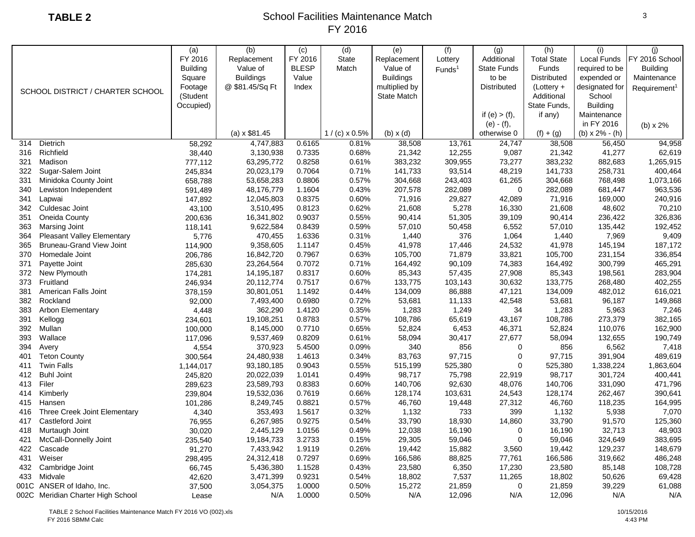|      |                                   | (a)             | (b)                 | (c)          | (d)                  | (e)              | (f)                | (g)                | (h)                | (i)              | (i)                      |
|------|-----------------------------------|-----------------|---------------------|--------------|----------------------|------------------|--------------------|--------------------|--------------------|------------------|--------------------------|
|      |                                   | FY 2016         | Replacement         | FY 2016      | <b>State</b>         | Replacement      | Lottery            | Additional         | <b>Total State</b> | Local Funds      | FY 2016 School           |
|      |                                   | <b>Building</b> | Value of            | <b>BLESP</b> | Match                | Value of         | Funds <sup>1</sup> | <b>State Funds</b> | <b>Funds</b>       | required to be   | <b>Building</b>          |
|      |                                   | Square          | <b>Buildings</b>    | Value        |                      | <b>Buildings</b> |                    | to be              | Distributed        | expended or      | Maintenance              |
|      |                                   | Footage         | @ \$81.45/Sq Ft     | Index        |                      | multiplied by    |                    | <b>Distributed</b> | $(Lottery +$       | designated for   | Requirement <sup>1</sup> |
|      | SCHOOL DISTRICT / CHARTER SCHOOL  | (Student        |                     |              |                      | State Match      |                    |                    | Additional         | School           |                          |
|      |                                   | Occupied)       |                     |              |                      |                  |                    |                    | State Funds,       | <b>Building</b>  |                          |
|      |                                   |                 |                     |              |                      |                  |                    | if (e) $>$ (f),    | if any)            | Maintenance      |                          |
|      |                                   |                 |                     |              |                      |                  |                    | $(e) - (f),$       |                    | in FY 2016       | (b) x 2%                 |
|      |                                   |                 | $(a) \times $81.45$ |              | $1/(c) \times 0.5\%$ | $(b) \times (d)$ |                    | otherwise 0        | $(f) + (g)$        | (b) $x 2% - (h)$ |                          |
| 314  | Dietrich                          | 58,292          | 4,747,883           | 0.6165       | 0.81%                | 38,508           | 13,761             | 24,747             | 38,508             | 56,450           | 94,958                   |
| 316  | Richfield                         | 38,440          | 3,130,938           | 0.7335       | 0.68%                | 21,342           | 12,255             | 9,087              | 21,342             | 41,277           | 62,619                   |
| 321  | Madison                           | 777,112         | 63,295,772          | 0.8258       | 0.61%                | 383,232          | 309,955            | 73,277             | 383,232            | 882,683          | 1,265,915                |
| 322  | Sugar-Salem Joint                 | 245,834         | 20,023,179          | 0.7064       | 0.71%                | 141,733          | 93,514             | 48,219             | 141,733            | 258,731          | 400,464                  |
| 331  | Minidoka County Joint             | 658,788         | 53,658,283          | 0.8806       | 0.57%                | 304,668          | 243,403            | 61,265             | 304,668            | 768,498          | 1,073,166                |
| 340  | Lewiston Independent              | 591,489         | 48,176,779          | 1.1604       | 0.43%                | 207,578          | 282,089            | $\mathbf 0$        | 282,089            | 681,447          | 963,536                  |
| 341  | Lapwai                            | 147,892         | 12,045,803          | 0.8375       | 0.60%                | 71,916           | 29,827             | 42,089             | 71,916             | 169,000          | 240,916                  |
| 342  | Culdesac Joint                    | 43,100          | 3,510,495           | 0.8123       | 0.62%                | 21,608           | 5,278              | 16,330             | 21,608             | 48,602           | 70,210                   |
| 351  | Oneida County                     | 200,636         | 16,341,802          | 0.9037       | 0.55%                | 90,414           | 51,305             | 39,109             | 90,414             | 236,422          | 326,836                  |
| 363  | Marsing Joint                     | 118,141         | 9,622,584           | 0.8439       | 0.59%                | 57,010           | 50,458             | 6,552              | 57,010             | 135,442          | 192,452                  |
| 364  | Pleasant Valley Elementary        | 5,776           | 470,455             | 1.6336       | 0.31%                | 1,440            | 376                | 1,064              | 1,440              | 7,969            | 9,409                    |
| 365  | <b>Bruneau-Grand View Joint</b>   | 114,900         | 9,358,605           | 1.1147       | 0.45%                | 41,978           | 17,446             | 24,532             | 41,978             | 145,194          | 187,172                  |
| 370  | Homedale Joint                    | 206,786         | 16,842,720          | 0.7967       | 0.63%                | 105,700          | 71,879             | 33,821             | 105,700            | 231,154          | 336,854                  |
| 371  | Payette Joint                     | 285,630         | 23,264,564          | 0.7072       | 0.71%                | 164,492          | 90,109             | 74,383             | 164,492            | 300,799          | 465,291                  |
| 372  | New Plymouth                      | 174,281         | 14,195,187          | 0.8317       | 0.60%                | 85,343           | 57,435             | 27,908             | 85,343             | 198,561          | 283,904                  |
| 373  | Fruitland                         | 246,934         | 20,112,774          | 0.7517       | 0.67%                | 133,775          | 103,143            | 30,632             | 133,775            | 268,480          | 402,255                  |
| 381  | American Falls Joint              | 378,159         | 30,801,051          | 1.1492       | 0.44%                | 134,009          | 86,888             | 47,121             | 134,009            | 482,012          | 616,021                  |
| 382  | Rockland                          | 92,000          | 7,493,400           | 0.6980       | 0.72%                | 53,681           | 11,133             | 42,548             | 53,681             | 96,187           | 149,868                  |
| 383  | <b>Arbon Elementary</b>           | 4,448           | 362,290             | 1.4120       | 0.35%                | 1,283            | 1,249              | 34                 | 1,283              | 5,963            | 7,246                    |
| 391  | Kellogg                           | 234,601         | 19,108,251          | 0.8783       | 0.57%                | 108,786          | 65,619             | 43,167             | 108,786            | 273,379          | 382,165                  |
| 392  | Mullan                            | 100,000         | 8,145,000           | 0.7710       | 0.65%                | 52,824           | 6,453              | 46,371             | 52,824             | 110,076          | 162,900                  |
| 393  | Wallace                           | 117,096         | 9,537,469           | 0.8209       | 0.61%                | 58,094           | 30,417             | 27,677             | 58,094             | 132,655          | 190,749                  |
| 394  | Avery                             | 4,554           | 370,923             | 5.4500       | 0.09%                | 340              | 856                | $\mathbf 0$        | 856                | 6,562            | 7,418                    |
| 401  | <b>Teton County</b>               | 300,564         | 24,480,938          | 1.4613       | 0.34%                | 83,763           | 97,715             | 0                  | 97,715             | 391,904          | 489,619                  |
| 411  | <b>Twin Falls</b>                 | 1,144,017       | 93,180,185          | 0.9043       | 0.55%                | 515,199          | 525,380            | $\mathbf 0$        | 525,380            | 1,338,224        | 1,863,604                |
| 412  | <b>Buhl Joint</b>                 | 245,820         | 20,022,039          | 1.0141       | 0.49%                | 98,717           | 75,798             | 22,919             | 98,717             | 301,724          | 400,441                  |
| 413  | Filer                             | 289,623         | 23,589,793          | 0.8383       | 0.60%                | 140,706          | 92,630             | 48,076             | 140,706            | 331,090          | 471,796                  |
| 414  | Kimberly                          | 239,804         | 19,532,036          | 0.7619       | 0.66%                | 128,174          | 103,631            | 24,543             | 128,174            | 262,467          | 390,641                  |
| 415  | Hansen                            | 101,286         | 8,249,745           | 0.8821       | 0.57%                | 46,760           | 19,448             | 27,312             | 46,760             | 118,235          | 164,995                  |
| 416  | Three Creek Joint Elementary      | 4,340           | 353,493             | 1.5617       | 0.32%                | 1,132            | 733                | 399                | 1,132              | 5,938            | 7,070                    |
| 417  | Castleford Joint                  | 76,955          | 6,267,985           | 0.9275       | 0.54%                | 33,790           | 18,930             | 14,860             | 33,790             | 91,570           | 125,360                  |
| 418  | Murtaugh Joint                    | 30,020          | 2,445,129           | 1.0156       | 0.49%                | 12,038           | 16,190             | 0                  | 16,190             | 32,713           | 48,903                   |
| 421  | McCall-Donnelly Joint             | 235,540         | 19,184,733          | 3.2733       | 0.15%                | 29,305           | 59,046             | $\mathbf 0$        | 59,046             | 324,649          | 383,695                  |
| 422  | Cascade                           | 91,270          | 7,433,942           | 1.9119       | 0.26%                | 19,442           | 15,882             | 3,560              | 19,442             | 129,237          | 148,679                  |
| 431  | Weiser                            | 298,495         | 24,312,418          | 0.7297       | 0.69%                | 166,586          | 88,825             | 77,761             | 166,586            | 319,662          | 486,248                  |
| 432  | Cambridge Joint                   | 66,745          | 5,436,380           | 1.1528       | 0.43%                | 23,580           | 6,350              | 17,230             | 23,580             | 85,148           | 108,728                  |
| 433  | Midvale                           | 42,620          | 3,471,399           | 0.9231       | 0.54%                | 18,802           | 7,537              | 11,265             | 18,802             | 50,626           | 69,428                   |
| 001C | ANSER of Idaho, Inc.              | 37,500          | 3,054,375           | 1.0000       | 0.50%                | 15,272           | 21,859             | $\pmb{0}$          | 21,859             | 39,229           | 61,088                   |
|      | 002C Meridian Charter High School | Lease           | N/A                 | 1.0000       | 0.50%                | N/A              | 12,096             | N/A                | 12,096             | N/A              | N/A                      |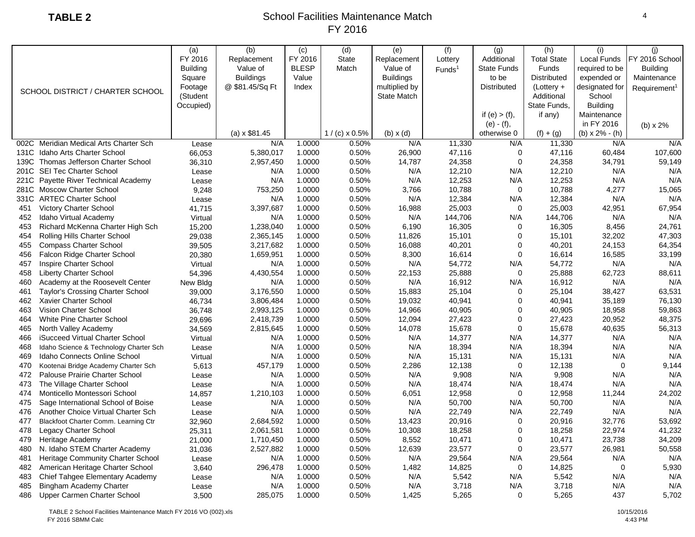|      |                                          | (a)             | (b)                 | (c)          | (d)                  | (e)                | (f)                | (g)                | (h)                | (i)                | (i)                      |
|------|------------------------------------------|-----------------|---------------------|--------------|----------------------|--------------------|--------------------|--------------------|--------------------|--------------------|--------------------------|
|      |                                          | FY 2016         | Replacement         | FY 2016      | <b>State</b>         | Replacement        | Lottery            | Additional         | <b>Total State</b> | <b>Local Funds</b> | FY 2016 School           |
|      |                                          | <b>Building</b> | Value of            | <b>BLESP</b> | Match                | Value of           | Funds <sup>1</sup> | <b>State Funds</b> | <b>Funds</b>       | required to be     | <b>Building</b>          |
|      |                                          | Square          | <b>Buildings</b>    | Value        |                      | <b>Buildings</b>   |                    | to be              | <b>Distributed</b> | expended or        | Maintenance              |
|      |                                          | Footage         | @ \$81.45/Sq Ft     | Index        |                      | multiplied by      |                    | <b>Distributed</b> | $(Lottery +$       | designated for     | Requirement <sup>1</sup> |
|      | SCHOOL DISTRICT / CHARTER SCHOOL         | (Student        |                     |              |                      | <b>State Match</b> |                    |                    | Additional         | School             |                          |
|      |                                          | Occupied)       |                     |              |                      |                    |                    |                    | State Funds.       | <b>Building</b>    |                          |
|      |                                          |                 |                     |              |                      |                    |                    | if $(e) > (f)$ ,   | if any)            | Maintenance        |                          |
|      |                                          |                 |                     |              |                      |                    |                    | $(e) - (f),$       |                    | in FY 2016         | (b) $\times$ 2%          |
|      |                                          |                 | $(a) \times $81.45$ |              | $1/(c) \times 0.5\%$ | $(b)$ x $(d)$      |                    | otherwise 0        | $(f) + (g)$        | (b) $x 2% - (h)$   |                          |
|      | 002C Meridian Medical Arts Charter Sch   | Lease           | N/A                 | 1.0000       | 0.50%                | N/A                | 11,330             | N/A                | 11,330             | N/A                | N/A                      |
| 131C | Idaho Arts Charter School                | 66,053          | 5,380,017           | 1.0000       | 0.50%                | 26,900             | 47,116             | $\mathbf 0$        | 47,116             | 60,484             | 107,600                  |
| 139C | Thomas Jefferson Charter School          | 36,310          | 2,957,450           | 1.0000       | 0.50%                | 14,787             | 24,358             | $\mathbf 0$        | 24,358             | 34,791             | 59,149                   |
|      | 201C SEI Tec Charter School              | Lease           | N/A                 | 1.0000       | 0.50%                | N/A                | 12,210             | N/A                | 12,210             | N/A                | N/A                      |
|      | 221C Payette River Technical Academy     | Lease           | N/A                 | 1.0000       | 0.50%                | N/A                | 12,253             | N/A                | 12,253             | N/A                | N/A                      |
| 281C | <b>Moscow Charter School</b>             | 9,248           | 753,250             | 1.0000       | 0.50%                | 3,766              | 10,788             | $\mathbf 0$        | 10,788             | 4,277              | 15,065                   |
|      | 331C ARTEC Charter School                | Lease           | N/A                 | 1.0000       | 0.50%                | N/A                | 12,384             | N/A                | 12,384             | N/A                | N/A                      |
| 451  | Victory Charter School                   | 41,715          | 3,397,687           | 1.0000       | 0.50%                | 16,988             | 25,003             | $\overline{0}$     | 25,003             | 42,951             | 67,954                   |
| 452  | Idaho Virtual Academy                    | Virtual         | N/A                 | 1.0000       | 0.50%                | N/A                | 144,706            | N/A                | 144,706            | N/A                | N/A                      |
| 453  | Richard McKenna Charter High Sch         | 15,200          | 1,238,040           | 1.0000       | 0.50%                | 6,190              | 16,305             | $\overline{0}$     | 16,305             | 8,456              | 24,761                   |
| 454  | Rolling Hills Charter School             | 29,038          | 2,365,145           | 1.0000       | 0.50%                | 11,826             | 15,101             | $\overline{0}$     | 15,101             | 32,202             | 47,303                   |
| 455  | <b>Compass Charter School</b>            | 39,505          | 3,217,682           | 1.0000       | 0.50%                | 16,088             | 40,201             | $\Omega$           | 40,201             | 24,153             | 64,354                   |
| 456  | Falcon Ridge Charter School              | 20,380          | 1,659,951           | 1.0000       | 0.50%                | 8,300              | 16,614             | $\mathbf 0$        | 16,614             | 16,585             | 33,199                   |
| 457  | Inspire Charter School                   | Virtual         | N/A                 | 1.0000       | 0.50%                | N/A                | 54,772             | N/A                | 54,772             | N/A                | N/A                      |
| 458  | <b>Liberty Charter School</b>            | 54,396          | 4,430,554           | 1.0000       | 0.50%                | 22,153             | 25,888             | $\mathbf 0$        | 25,888             | 62,723             | 88,611                   |
| 460  | Academy at the Roosevelt Center          | New Bldg        | N/A                 | 1.0000       | 0.50%                | N/A                | 16,912             | N/A                | 16,912             | N/A                | N/A                      |
| 461  | <b>Taylor's Crossing Charter School</b>  | 39,000          | 3,176,550           | 1.0000       | 0.50%                | 15,883             | 25,104             | $\mathbf 0$        | 25,104             | 38,427             | 63,531                   |
| 462  | Xavier Charter School                    | 46,734          | 3,806,484           | 1.0000       | 0.50%                | 19,032             | 40,941             | 0                  | 40,941             | 35,189             | 76,130                   |
| 463  | <b>Vision Charter School</b>             | 36,748          | 2,993,125           | 1.0000       | 0.50%                | 14,966             | 40,905             | $\mathbf 0$        | 40,905             | 18,958             | 59,863                   |
| 464  | White Pine Charter School                | 29,696          | 2,418,739           | 1.0000       | 0.50%                | 12,094             | 27,423             | $\mathbf 0$        | 27,423             | 20,952             | 48,375                   |
| 465  | North Valley Academy                     | 34,569          | 2,815,645           | 1.0000       | 0.50%                | 14,078             | 15,678             | $\mathbf 0$        | 15,678             | 40,635             | 56,313                   |
| 466  | iSucceed Virtual Charter School          | Virtual         | N/A                 | 1.0000       | 0.50%                | N/A                | 14,377             | N/A                | 14,377             | N/A                | N/A                      |
| 468  | Idaho Science & Technology Charter Sch   | Lease           | N/A                 | 1.0000       | 0.50%                | N/A                | 18,394             | N/A                | 18,394             | N/A                | N/A                      |
| 469  | Idaho Connects Online School             | Virtual         | N/A                 | 1.0000       | 0.50%                | N/A                | 15,131             | N/A                | 15,131             | N/A                | N/A                      |
| 470  | Kootenai Bridge Academy Charter Sch      | 5,613           | 457,179             | 1.0000       | 0.50%                | 2,286              | 12,138             | $\mathbf 0$        | 12,138             | $\mathbf 0$        | 9,144                    |
| 472  | Palouse Prairie Charter School           | Lease           | N/A                 | 1.0000       | 0.50%                | N/A                | 9,908              | N/A                | 9,908              | N/A                | N/A                      |
| 473  | The Village Charter School               | Lease           | N/A                 | 1.0000       | 0.50%                | N/A                | 18,474             | N/A                | 18,474             | N/A                | N/A                      |
| 474  | Monticello Montessori School             | 14,857          | 1,210,103           | 1.0000       | 0.50%                | 6,051              | 12,958             | $\mathbf 0$        | 12,958             | 11,244             | 24,202                   |
| 475  | Sage International School of Boise       | Lease           | N/A                 | 1.0000       | 0.50%                | N/A                | 50,700             | N/A                | 50,700             | N/A                | N/A                      |
| 476  | Another Choice Virtual Charter Sch       | Lease           | N/A                 | 1.0000       | 0.50%                | N/A                | 22,749             | N/A                | 22,749             | N/A                | N/A                      |
| 477  | Blackfoot Charter Comm. Learning Ctr     | 32,960          | 2,684,592           | 1.0000       | 0.50%                | 13,423             | 20,916             | $\mathbf 0$        | 20,916             | 32,776             | 53,692                   |
| 478  | Legacy Charter School                    | 25,311          | 2,061,581           | 1.0000       | 0.50%                | 10,308             | 18,258             | $\mathbf 0$        | 18,258             | 22,974             | 41,232                   |
| 479  | Heritage Academy                         | 21,000          | 1,710,450           | 1.0000       | 0.50%                | 8,552              | 10,471             | $\mathbf 0$        | 10,471             | 23,738             | 34,209                   |
| 480  | N. Idaho STEM Charter Academy            | 31,036          | 2,527,882           | 1.0000       | 0.50%                | 12,639             | 23,577             | $\mathbf 0$        | 23,577             | 26,981             | 50,558                   |
| 481  | <b>Heritage Community Charter School</b> | Lease           | N/A                 | 1.0000       | 0.50%                | N/A                | 29,564             | N/A                | 29,564             | N/A                | N/A                      |
| 482  | American Heritage Charter School         | 3,640           | 296,478             | 1.0000       | 0.50%                | 1,482              | 14,825             | 0                  | 14,825             | $\mathbf 0$        | 5,930                    |
| 483  | Chief Tahgee Elementary Academy          | Lease           | N/A                 | 1.0000       | 0.50%                | N/A                | 5,542              | N/A                | 5,542              | N/A                | N/A                      |
| 485  | Bingham Academy Charter                  | Lease           | N/A                 | 1.0000       | 0.50%                | N/A                | 3,718              | N/A                | 3,718              | N/A                | N/A                      |
| 486  | Upper Carmen Charter School              | 3,500           | 285,075             | 1.0000       | 0.50%                | 1,425              | 5,265              | $\mathbf 0$        | 5,265              | 437                | 5,702                    |
|      |                                          |                 |                     |              |                      |                    |                    |                    |                    |                    |                          |